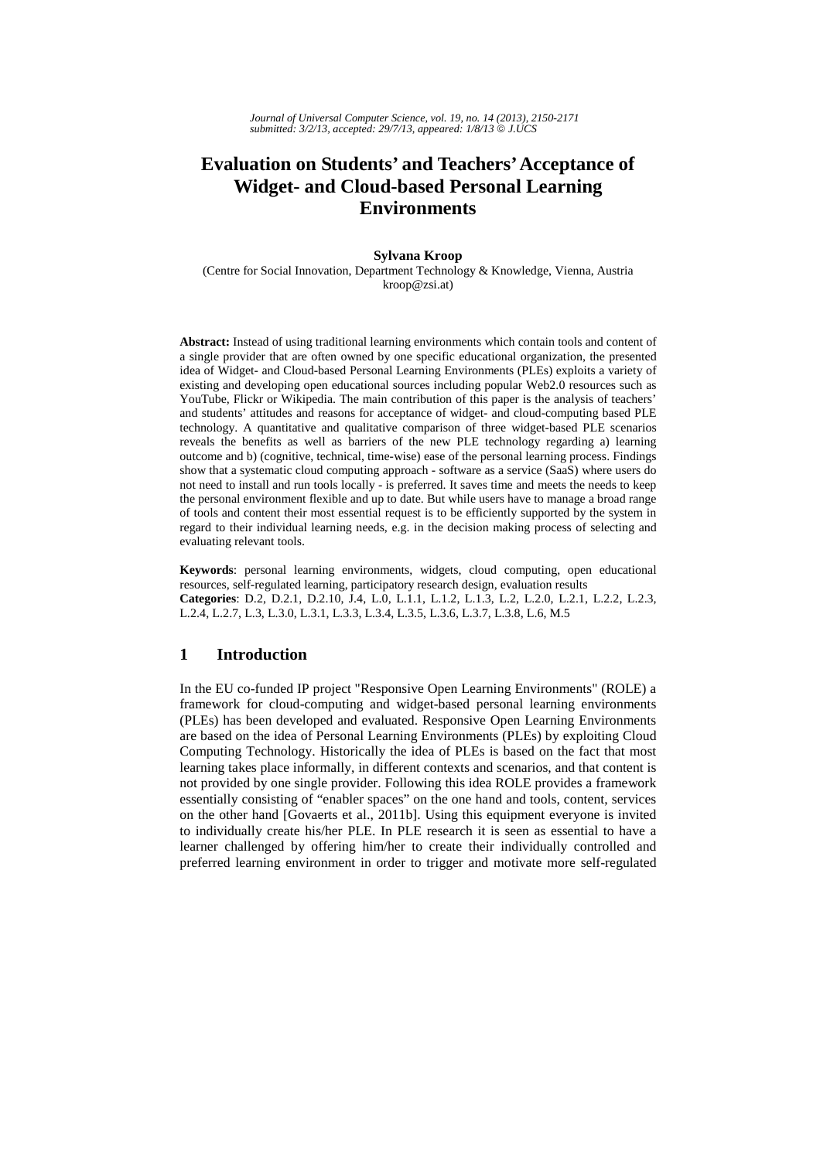*Journal of Universal Computer Science, vol. 19, no. 14 (2013), 2150-2171 submitted: 3/2/13, accepted: 29/7/13, appeared: 1/8/13* © *J.UCS*

# **Evaluation on Students' and Teachers' Acceptance of Widget- and Cloud-based Personal Learning Environments**

#### **Sylvana Kroop**

(Centre for Social Innovation, Department Technology & Knowledge, Vienna, Austria kroop@zsi.at)

**Abstract:** Instead of using traditional learning environments which contain tools and content of a single provider that are often owned by one specific educational organization, the presented idea of Widget- and Cloud-based Personal Learning Environments (PLEs) exploits a variety of existing and developing open educational sources including popular Web2.0 resources such as YouTube, Flickr or Wikipedia. The main contribution of this paper is the analysis of teachers' and students' attitudes and reasons for acceptance of widget- and cloud-computing based PLE technology. A quantitative and qualitative comparison of three widget-based PLE scenarios reveals the benefits as well as barriers of the new PLE technology regarding a) learning outcome and b) (cognitive, technical, time-wise) ease of the personal learning process. Findings show that a systematic cloud computing approach - software as a service (SaaS) where users do not need to install and run tools locally - is preferred. It saves time and meets the needs to keep the personal environment flexible and up to date. But while users have to manage a broad range of tools and content their most essential request is to be efficiently supported by the system in regard to their individual learning needs, e.g. in the decision making process of selecting and evaluating relevant tools.

**Keywords**: personal learning environments, widgets, cloud computing, open educational resources, self-regulated learning, participatory research design, evaluation results **Categories**: D.2, D.2.1, D.2.10, J.4, L.0, L.1.1, L.1.2, L.1.3, L.2, L.2.0, L.2.1, L.2.2, L.2.3, L.2.4, L.2.7, L.3, L.3.0, L.3.1, L.3.3, L.3.4, L.3.5, L.3.6, L.3.7, L.3.8, L.6, M.5

# **1 Introduction**

In the EU co-funded IP project "Responsive Open Learning Environments" (ROLE) a framework for cloud-computing and widget-based personal learning environments (PLEs) has been developed and evaluated. Responsive Open Learning Environments are based on the idea of Personal Learning Environments (PLEs) by exploiting Cloud Computing Technology. Historically the idea of PLEs is based on the fact that most learning takes place informally, in different contexts and scenarios, and that content is not provided by one single provider. Following this idea ROLE provides a framework essentially consisting of "enabler spaces" on the one hand and tools, content, services on the other hand [Govaerts et al., 2011b]. Using this equipment everyone is invited to individually create his/her PLE. In PLE research it is seen as essential to have a learner challenged by offering him/her to create their individually controlled and preferred learning environment in order to trigger and motivate more self-regulated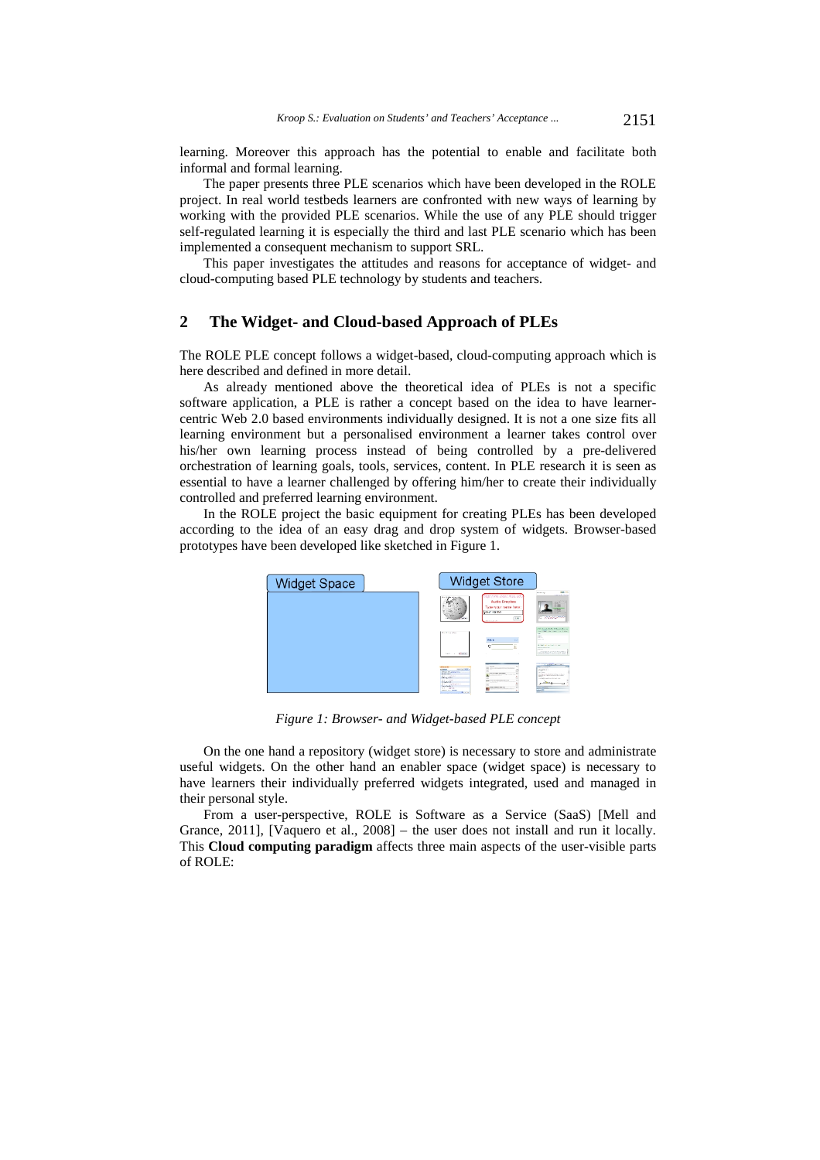learning. Moreover this approach has the potential to enable and facilitate both informal and formal learning.

The paper presents three PLE scenarios which have been developed in the ROLE project. In real world testbeds learners are confronted with new ways of learning by working with the provided PLE scenarios. While the use of any PLE should trigger self-regulated learning it is especially the third and last PLE scenario which has been implemented a consequent mechanism to support SRL.

This paper investigates the attitudes and reasons for acceptance of widget- and cloud-computing based PLE technology by students and teachers.

# **2 The Widget- and Cloud-based Approach of PLEs**

The ROLE PLE concept follows a widget-based, cloud-computing approach which is here described and defined in more detail.

As already mentioned above the theoretical idea of PLEs is not a specific software application, a PLE is rather a concept based on the idea to have learnercentric Web 2.0 based environments individually designed. It is not a one size fits all learning environment but a personalised environment a learner takes control over his/her own learning process instead of being controlled by a pre-delivered orchestration of learning goals, tools, services, content. In PLE research it is seen as essential to have a learner challenged by offering him/her to create their individually controlled and preferred learning environment.

In the ROLE project the basic equipment for creating PLEs has been developed according to the idea of an easy drag and drop system of widgets. Browser-based prototypes have been developed like sketched in Figure 1.

| <b>Widget Space</b> | <b>Widget Store</b>                                                                                                                                                                                                                                                                                                                                                                                                                                                                  |                                                                                                                                                                                                           |
|---------------------|--------------------------------------------------------------------------------------------------------------------------------------------------------------------------------------------------------------------------------------------------------------------------------------------------------------------------------------------------------------------------------------------------------------------------------------------------------------------------------------|-----------------------------------------------------------------------------------------------------------------------------------------------------------------------------------------------------------|
|                     | http://ne.clear.msu.edc<br>Audio Dropbox<br>Type your name here:<br><b>NOUTRATIO</b><br>DK.<br><b>Lervi</b><br><b>MOULDER</b>                                                                                                                                                                                                                                                                                                                                                        | <b>BALLY</b><br><b>Wildlife</b><br><b>San Factor Facts</b><br>æ<br>--<br><b>Particularly</b>                                                                                                              |
|                     | We sell the sales<br>Y.<br><b>Deck</b><br>¢<br>t.                                                                                                                                                                                                                                                                                                                                                                                                                                    | 1700 - Dennador Rod & Del Managericken and<br>the Children and Children and Children<br><b>ALCOHOL:</b><br><b>COLLECTION</b><br><b>SALE</b><br><b>Service</b><br>ALCOHOL: NUMBER<br><b>Report Follows</b> |
|                     | sen - Marie                                                                                                                                                                                                                                                                                                                                                                                                                                                                          | p:2953300000000                                                                                                                                                                                           |
|                     | <b>TAGE</b><br><b>LEIGHAME</b><br><b>STATISTICS</b><br>The first regular<br>$\sim$<br><b>MALE FLUIDENCE</b><br><b>A R R R R R R F R R R R R</b><br><b>Brand Carry</b><br><b>And College</b><br>Mary Country Ltd.<br><b>Back Mary</b><br><b>Sec</b><br>and them.<br>sease follow by trademark all homes from<br><b>MARGER</b><br>---<br>also the facts for<br>$\sim$<br>Top a Faste F.<br>the company and<br>$22 - 287$<br>the character and<br><b>House Avenue</b><br><b>RECOVER</b> | <b>The State of the Additional Contract</b><br><b>Construction</b><br>DESERT<br>---<br>the schools.<br>San Francisco Maria (1994)<br>Technical Avenue and<br>÷<br>÷                                       |

*Figure 1: Browser- and Widget-based PLE concept* 

On the one hand a repository (widget store) is necessary to store and administrate useful widgets. On the other hand an enabler space (widget space) is necessary to have learners their individually preferred widgets integrated, used and managed in their personal style.

From a user-perspective, ROLE is Software as a Service (SaaS) [Mell and Grance, 2011], [Vaquero et al., 2008] – the user does not install and run it locally. This **Cloud computing paradigm** affects three main aspects of the user-visible parts of ROLE: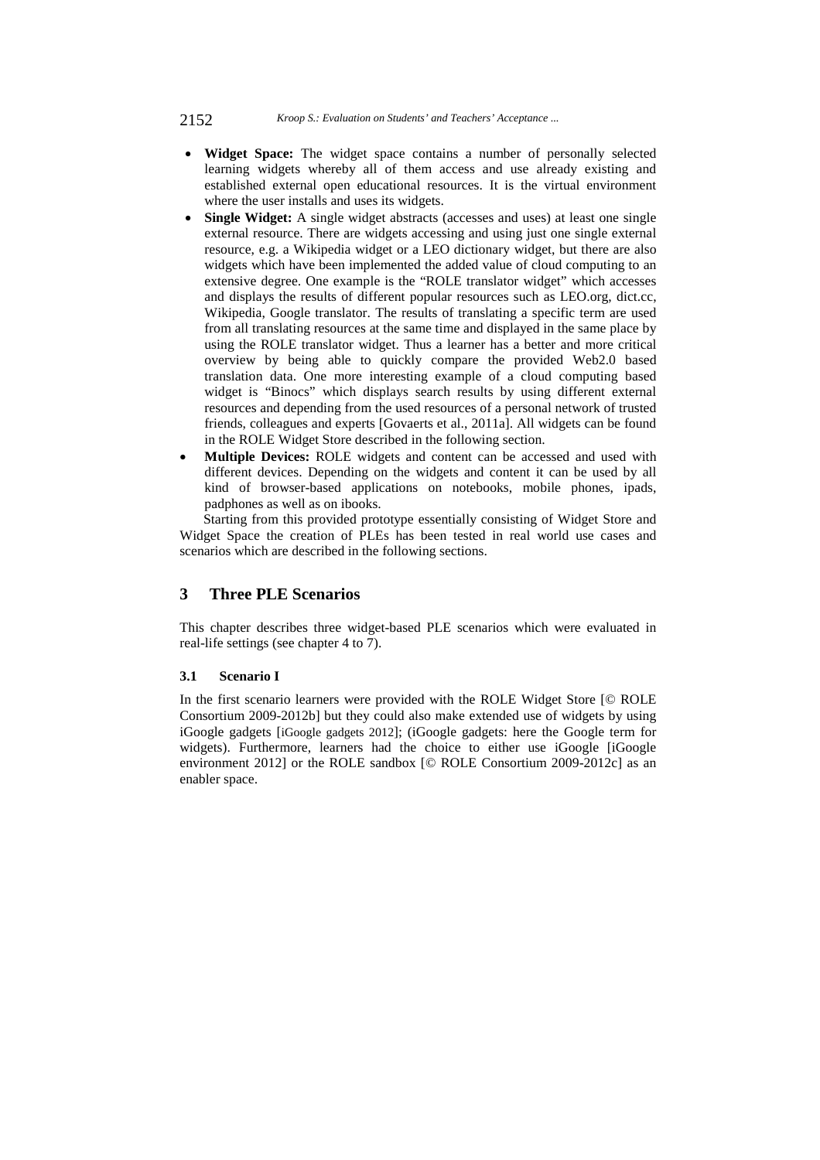2152 *Kroop S.: Evaluation on Students' and Teachers' Acceptance ...*

- **Widget Space:** The widget space contains a number of personally selected learning widgets whereby all of them access and use already existing and established external open educational resources. It is the virtual environment where the user installs and uses its widgets.
- **Single Widget:** A single widget abstracts (accesses and uses) at least one single external resource. There are widgets accessing and using just one single external resource, e.g. a Wikipedia widget or a LEO dictionary widget, but there are also widgets which have been implemented the added value of cloud computing to an extensive degree. One example is the "ROLE translator widget" which accesses and displays the results of different popular resources such as LEO.org, dict.cc, Wikipedia, Google translator. The results of translating a specific term are used from all translating resources at the same time and displayed in the same place by using the ROLE translator widget. Thus a learner has a better and more critical overview by being able to quickly compare the provided Web2.0 based translation data. One more interesting example of a cloud computing based widget is "Binocs" which displays search results by using different external resources and depending from the used resources of a personal network of trusted friends, colleagues and experts [Govaerts et al., 2011a]. All widgets can be found in the ROLE Widget Store described in the following section.
- **Multiple Devices:** ROLE widgets and content can be accessed and used with different devices. Depending on the widgets and content it can be used by all kind of browser-based applications on notebooks, mobile phones, ipads, padphones as well as on ibooks.

Starting from this provided prototype essentially consisting of Widget Store and Widget Space the creation of PLEs has been tested in real world use cases and scenarios which are described in the following sections.

# **3 Three PLE Scenarios**

This chapter describes three widget-based PLE scenarios which were evaluated in real-life settings (see chapter 4 to 7).

# **3.1 Scenario I**

In the first scenario learners were provided with the ROLE Widget Store [© ROLE Consortium 2009-2012b] but they could also make extended use of widgets by using iGoogle gadgets [iGoogle gadgets 2012]; (iGoogle gadgets: here the Google term for widgets). Furthermore, learners had the choice to either use iGoogle [iGoogle environment 2012] or the ROLE sandbox [© ROLE Consortium 2009-2012c] as an enabler space.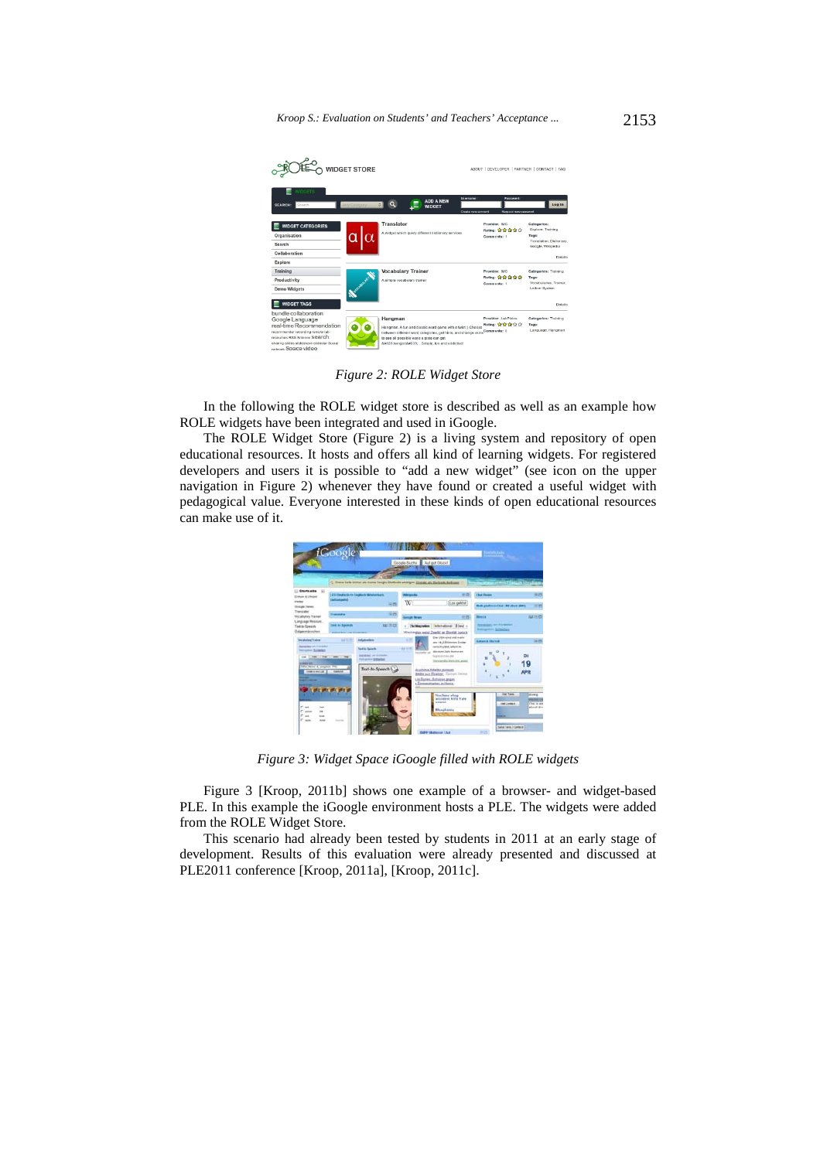*Kroop S.: Evaluation on Students' and Teachers' Acceptance ...* 2153



*Figure 2: ROLE Widget Store* 

In the following the ROLE widget store is described as well as an example how ROLE widgets have been integrated and used in iGoogle.

The ROLE Widget Store (Figure 2) is a living system and repository of open educational resources. It hosts and offers all kind of learning widgets. For registered developers and users it is possible to "add a new widget" (see icon on the upper navigation in Figure 2) whenever they have found or created a useful widget with pedagogical value. Everyone interested in these kinds of open educational resources can make use of it.



*Figure 3: Widget Space iGoogle filled with ROLE widgets* 

Figure 3 [Kroop, 2011b] shows one example of a browser- and widget-based PLE. In this example the iGoogle environment hosts a PLE. The widgets were added from the ROLE Widget Store.

This scenario had already been tested by students in 2011 at an early stage of development. Results of this evaluation were already presented and discussed at PLE2011 conference [Kroop, 2011a], [Kroop, 2011c].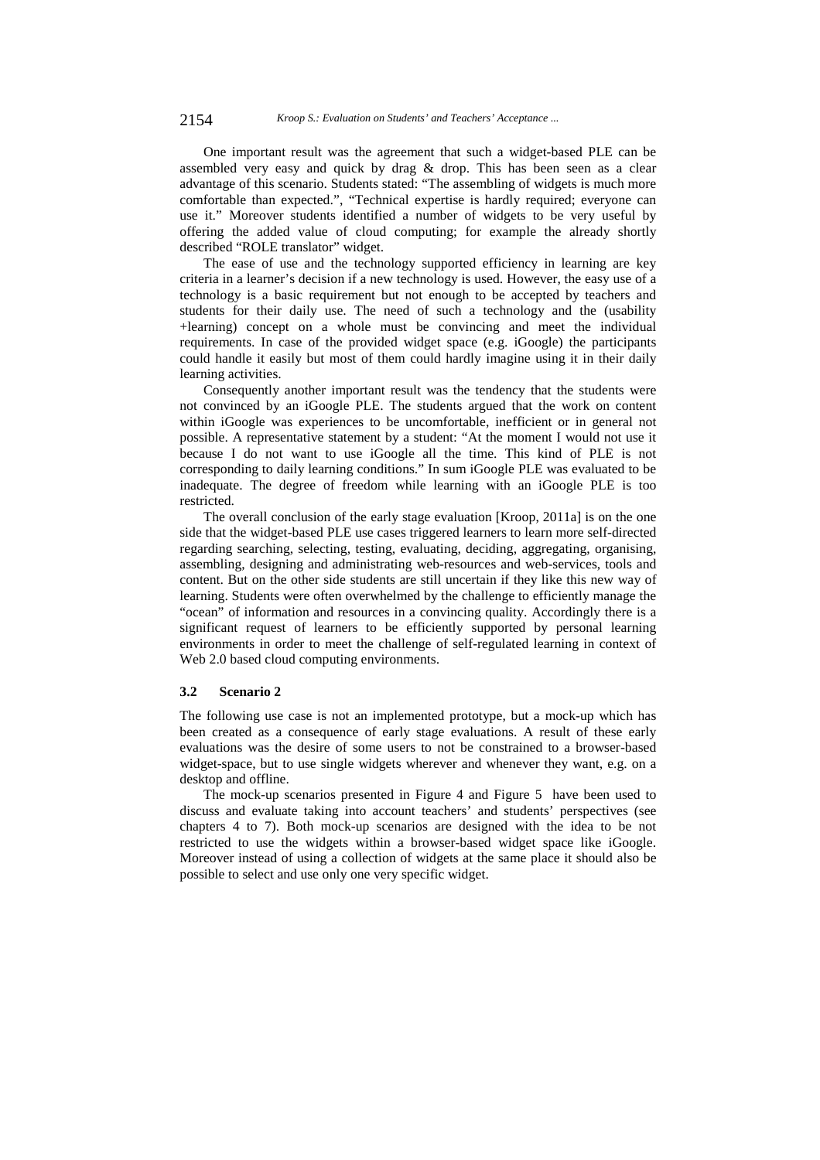One important result was the agreement that such a widget-based PLE can be assembled very easy and quick by drag & drop. This has been seen as a clear advantage of this scenario. Students stated: "The assembling of widgets is much more comfortable than expected.", "Technical expertise is hardly required; everyone can use it." Moreover students identified a number of widgets to be very useful by offering the added value of cloud computing; for example the already shortly described "ROLE translator" widget.

The ease of use and the technology supported efficiency in learning are key criteria in a learner's decision if a new technology is used. However, the easy use of a technology is a basic requirement but not enough to be accepted by teachers and students for their daily use. The need of such a technology and the (usability +learning) concept on a whole must be convincing and meet the individual requirements. In case of the provided widget space (e.g. iGoogle) the participants could handle it easily but most of them could hardly imagine using it in their daily learning activities.

Consequently another important result was the tendency that the students were not convinced by an iGoogle PLE. The students argued that the work on content within iGoogle was experiences to be uncomfortable, inefficient or in general not possible. A representative statement by a student: "At the moment I would not use it because I do not want to use iGoogle all the time. This kind of PLE is not corresponding to daily learning conditions." In sum iGoogle PLE was evaluated to be inadequate. The degree of freedom while learning with an iGoogle PLE is too restricted.

The overall conclusion of the early stage evaluation [Kroop, 2011a] is on the one side that the widget-based PLE use cases triggered learners to learn more self-directed regarding searching, selecting, testing, evaluating, deciding, aggregating, organising, assembling, designing and administrating web-resources and web-services, tools and content. But on the other side students are still uncertain if they like this new way of learning. Students were often overwhelmed by the challenge to efficiently manage the "ocean" of information and resources in a convincing quality. Accordingly there is a significant request of learners to be efficiently supported by personal learning environments in order to meet the challenge of self-regulated learning in context of Web 2.0 based cloud computing environments.

#### **3.2 Scenario 2**

The following use case is not an implemented prototype, but a mock-up which has been created as a consequence of early stage evaluations. A result of these early evaluations was the desire of some users to not be constrained to a browser-based widget-space, but to use single widgets wherever and whenever they want, e.g. on a desktop and offline.

The mock-up scenarios presented in Figure 4 and Figure 5 have been used to discuss and evaluate taking into account teachers' and students' perspectives (see chapters 4 to 7). Both mock-up scenarios are designed with the idea to be not restricted to use the widgets within a browser-based widget space like iGoogle. Moreover instead of using a collection of widgets at the same place it should also be possible to select and use only one very specific widget.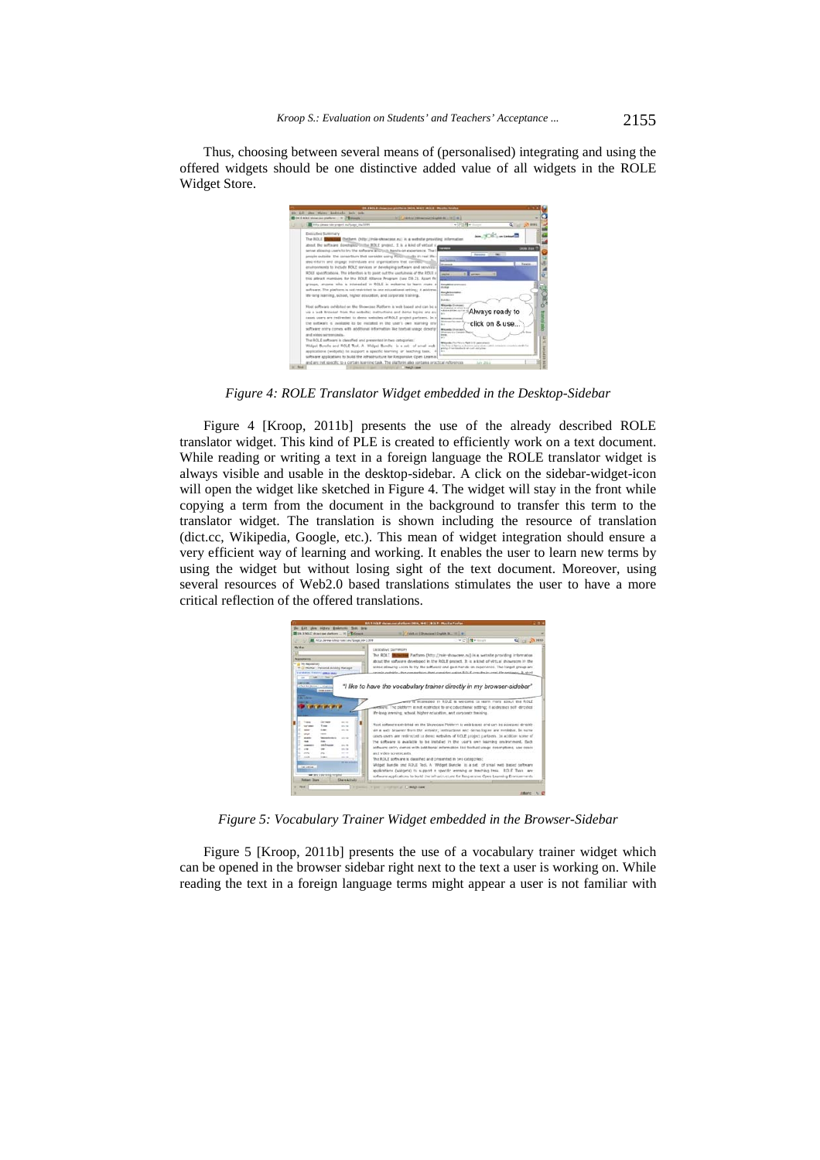Thus, choosing between several means of (personalised) integrating and using the offered widgets should be one distinctive added value of all widgets in the ROLE Widget Store.



*Figure 4: ROLE Translator Widget embedded in the Desktop-Sidebar* 

Figure 4 [Kroop, 2011b] presents the use of the already described ROLE translator widget. This kind of PLE is created to efficiently work on a text document. While reading or writing a text in a foreign language the ROLE translator widget is always visible and usable in the desktop-sidebar. A click on the sidebar-widget-icon will open the widget like sketched in Figure 4. The widget will stay in the front while copying a term from the document in the background to transfer this term to the translator widget. The translation is shown including the resource of translation (dict.cc, Wikipedia, Google, etc.). This mean of widget integration should ensure a very efficient way of learning and working. It enables the user to learn new terms by using the widget but without losing sight of the text document. Moreover, using several resources of Web2.0 based translations stimulates the user to have a more critical reflection of the offered translations.



*Figure 5: Vocabulary Trainer Widget embedded in the Browser-Sidebar* 

Figure 5 [Kroop, 2011b] presents the use of a vocabulary trainer widget which can be opened in the browser sidebar right next to the text a user is working on. While reading the text in a foreign language terms might appear a user is not familiar with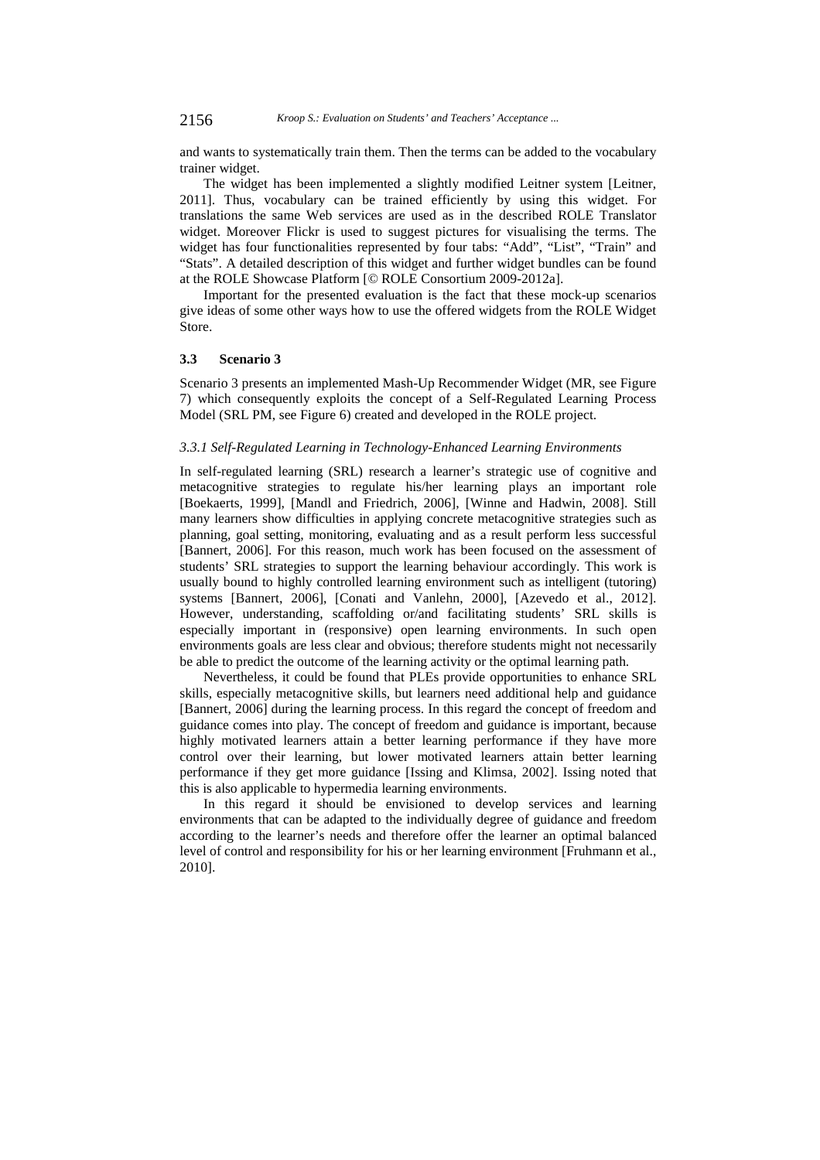# 2156 *Kroop S.: Evaluation on Students' and Teachers' Acceptance ...*

and wants to systematically train them. Then the terms can be added to the vocabulary trainer widget.

The widget has been implemented a slightly modified Leitner system [Leitner, 2011]. Thus, vocabulary can be trained efficiently by using this widget. For translations the same Web services are used as in the described ROLE Translator widget. Moreover Flickr is used to suggest pictures for visualising the terms. The widget has four functionalities represented by four tabs: "Add", "List", "Train" and "Stats". A detailed description of this widget and further widget bundles can be found at the ROLE Showcase Platform [*©* ROLE Consortium 2009-2012a].

Important for the presented evaluation is the fact that these mock-up scenarios give ideas of some other ways how to use the offered widgets from the ROLE Widget Store.

#### **3.3 Scenario 3**

Scenario 3 presents an implemented Mash-Up Recommender Widget (MR, see Figure 7) which consequently exploits the concept of a Self-Regulated Learning Process Model (SRL PM, see Figure 6) created and developed in the ROLE project.

# *3.3.1 Self-Regulated Learning in Technology-Enhanced Learning Environments*

In self-regulated learning (SRL) research a learner's strategic use of cognitive and metacognitive strategies to regulate his/her learning plays an important role [Boekaerts, 1999], [Mandl and Friedrich, 2006], [Winne and Hadwin, 2008]. Still many learners show difficulties in applying concrete metacognitive strategies such as planning, goal setting, monitoring, evaluating and as a result perform less successful [Bannert, 2006]. For this reason, much work has been focused on the assessment of students' SRL strategies to support the learning behaviour accordingly. This work is usually bound to highly controlled learning environment such as intelligent (tutoring) systems [Bannert, 2006], [Conati and Vanlehn, 2000], [Azevedo et al., 2012]. However, understanding, scaffolding or/and facilitating students' SRL skills is especially important in (responsive) open learning environments. In such open environments goals are less clear and obvious; therefore students might not necessarily be able to predict the outcome of the learning activity or the optimal learning path.

Nevertheless, it could be found that PLEs provide opportunities to enhance SRL skills, especially metacognitive skills, but learners need additional help and guidance [Bannert, 2006] during the learning process. In this regard the concept of freedom and guidance comes into play. The concept of freedom and guidance is important, because highly motivated learners attain a better learning performance if they have more control over their learning, but lower motivated learners attain better learning performance if they get more guidance [Issing and Klimsa, 2002]. Issing noted that this is also applicable to hypermedia learning environments.

In this regard it should be envisioned to develop services and learning environments that can be adapted to the individually degree of guidance and freedom according to the learner's needs and therefore offer the learner an optimal balanced level of control and responsibility for his or her learning environment [Fruhmann et al., 2010].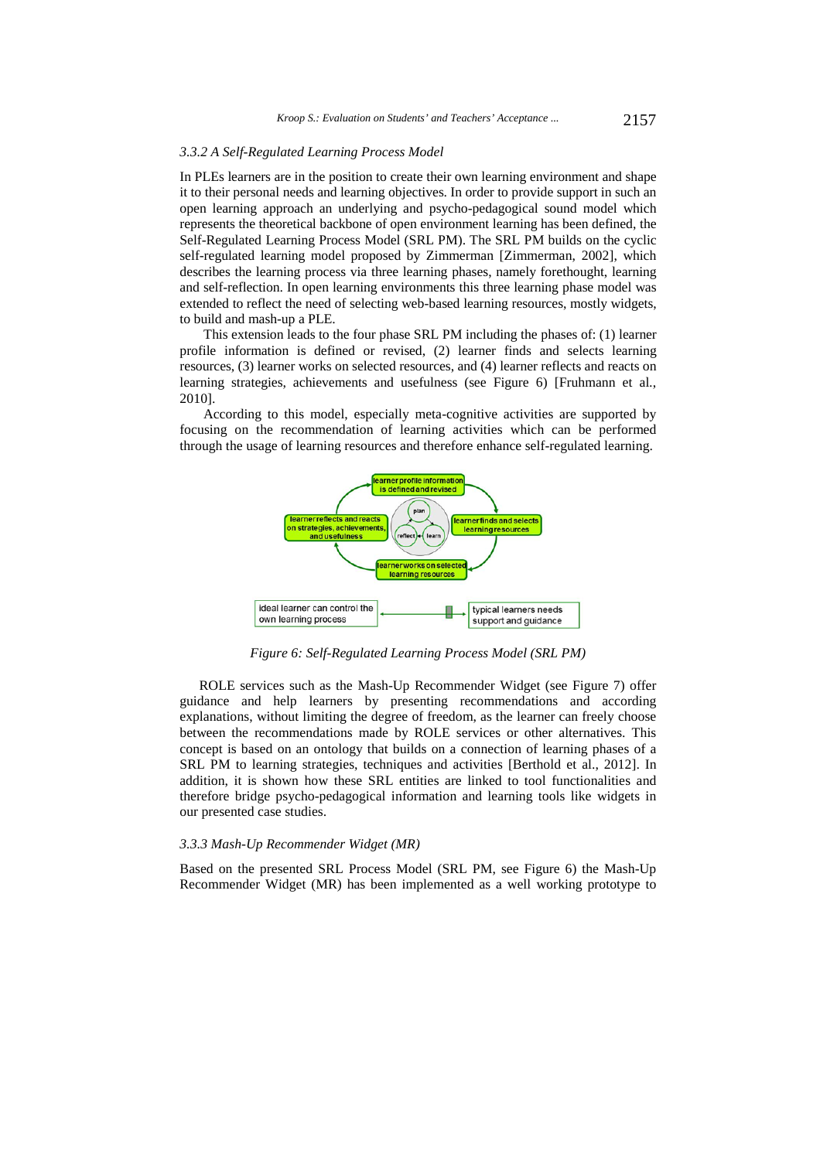#### *3.3.2 A Self-Regulated Learning Process Model*

In PLEs learners are in the position to create their own learning environment and shape it to their personal needs and learning objectives. In order to provide support in such an open learning approach an underlying and psycho-pedagogical sound model which represents the theoretical backbone of open environment learning has been defined, the Self-Regulated Learning Process Model (SRL PM). The SRL PM builds on the cyclic self-regulated learning model proposed by Zimmerman [Zimmerman, 2002], which describes the learning process via three learning phases, namely forethought, learning and self-reflection. In open learning environments this three learning phase model was extended to reflect the need of selecting web-based learning resources, mostly widgets, to build and mash-up a PLE.

This extension leads to the four phase SRL PM including the phases of: (1) learner profile information is defined or revised, (2) learner finds and selects learning resources, (3) learner works on selected resources, and (4) learner reflects and reacts on learning strategies, achievements and usefulness (see Figure 6) [Fruhmann et al*.*, 2010].

According to this model, especially meta-cognitive activities are supported by focusing on the recommendation of learning activities which can be performed through the usage of learning resources and therefore enhance self-regulated learning.



*Figure 6: Self-Regulated Learning Process Model (SRL PM)* 

ROLE services such as the Mash-Up Recommender Widget (see Figure 7) offer guidance and help learners by presenting recommendations and according explanations, without limiting the degree of freedom, as the learner can freely choose between the recommendations made by ROLE services or other alternatives. This concept is based on an ontology that builds on a connection of learning phases of a SRL PM to learning strategies, techniques and activities [Berthold et al., 2012]. In addition, it is shown how these SRL entities are linked to tool functionalities and therefore bridge psycho-pedagogical information and learning tools like widgets in our presented case studies.

#### *3.3.3 Mash-Up Recommender Widget (MR)*

Based on the presented SRL Process Model (SRL PM, see Figure 6) the Mash-Up Recommender Widget (MR) has been implemented as a well working prototype to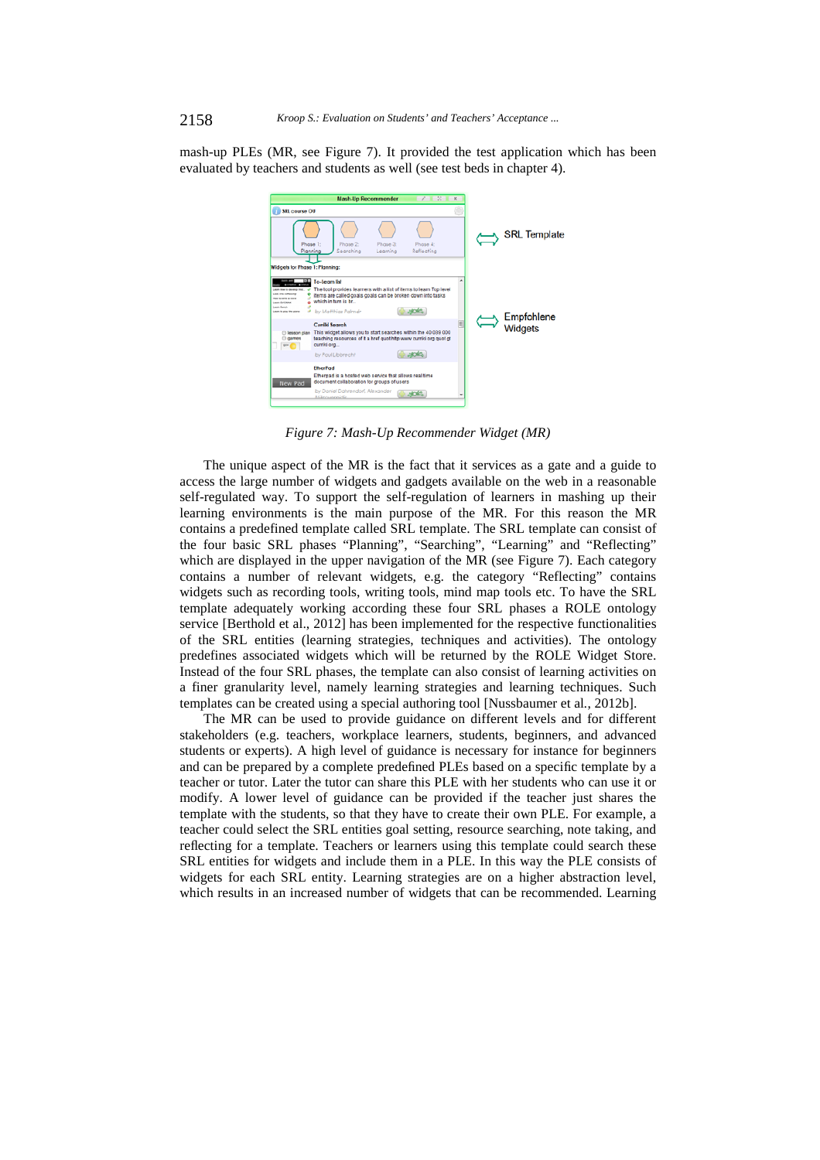mash-up PLEs (MR, see Figure 7). It provided the test application which has been evaluated by teachers and students as well (see test beds in chapter 4).



*Figure 7: Mash-Up Recommender Widget (MR)* 

The unique aspect of the MR is the fact that it services as a gate and a guide to access the large number of widgets and gadgets available on the web in a reasonable self-regulated way. To support the self-regulation of learners in mashing up their learning environments is the main purpose of the MR. For this reason the MR contains a predefined template called SRL template. The SRL template can consist of the four basic SRL phases "Planning", "Searching", "Learning" and "Reflecting" which are displayed in the upper navigation of the MR (see Figure 7). Each category contains a number of relevant widgets, e.g. the category "Reflecting" contains widgets such as recording tools, writing tools, mind map tools etc. To have the SRL template adequately working according these four SRL phases a ROLE ontology service [Berthold et al., 2012] has been implemented for the respective functionalities of the SRL entities (learning strategies, techniques and activities). The ontology predefines associated widgets which will be returned by the ROLE Widget Store. Instead of the four SRL phases, the template can also consist of learning activities on a finer granularity level, namely learning strategies and learning techniques. Such templates can be created using a special authoring tool [Nussbaumer et al*.*, 2012b].

The MR can be used to provide guidance on different levels and for different stakeholders (e.g. teachers, workplace learners, students, beginners, and advanced students or experts). A high level of guidance is necessary for instance for beginners and can be prepared by a complete predefined PLEs based on a specific template by a teacher or tutor. Later the tutor can share this PLE with her students who can use it or modify. A lower level of guidance can be provided if the teacher just shares the template with the students, so that they have to create their own PLE. For example, a teacher could select the SRL entities goal setting, resource searching, note taking, and reflecting for a template. Teachers or learners using this template could search these SRL entities for widgets and include them in a PLE. In this way the PLE consists of widgets for each SRL entity. Learning strategies are on a higher abstraction level, which results in an increased number of widgets that can be recommended. Learning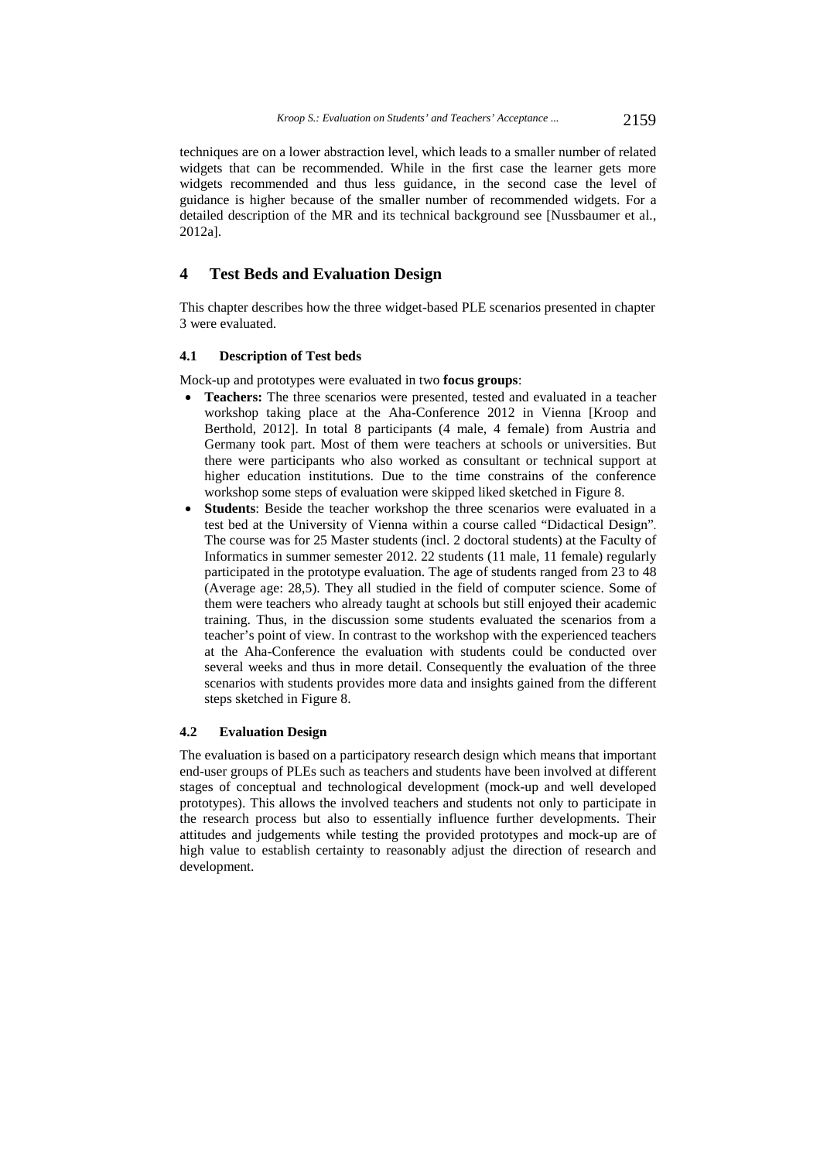techniques are on a lower abstraction level, which leads to a smaller number of related widgets that can be recommended. While in the first case the learner gets more widgets recommended and thus less guidance, in the second case the level of guidance is higher because of the smaller number of recommended widgets. For a detailed description of the MR and its technical background see [Nussbaumer et al., 2012a].

# **4 Test Beds and Evaluation Design**

This chapter describes how the three widget-based PLE scenarios presented in chapter 3 were evaluated.

# **4.1 Description of Test beds**

Mock-up and prototypes were evaluated in two **focus groups**:

- **Teachers:** The three scenarios were presented, tested and evaluated in a teacher workshop taking place at the Aha-Conference 2012 in Vienna [Kroop and Berthold, 2012]. In total 8 participants (4 male, 4 female) from Austria and Germany took part. Most of them were teachers at schools or universities. But there were participants who also worked as consultant or technical support at higher education institutions. Due to the time constrains of the conference workshop some steps of evaluation were skipped liked sketched in Figure 8.
- **Students**: Beside the teacher workshop the three scenarios were evaluated in a test bed at the University of Vienna within a course called "Didactical Design". The course was for 25 Master students (incl. 2 doctoral students) at the Faculty of Informatics in summer semester 2012. 22 students (11 male, 11 female) regularly participated in the prototype evaluation. The age of students ranged from 23 to 48 (Average age: 28,5). They all studied in the field of computer science. Some of them were teachers who already taught at schools but still enjoyed their academic training. Thus, in the discussion some students evaluated the scenarios from a teacher's point of view. In contrast to the workshop with the experienced teachers at the Aha-Conference the evaluation with students could be conducted over several weeks and thus in more detail. Consequently the evaluation of the three scenarios with students provides more data and insights gained from the different steps sketched in Figure 8.

# **4.2 Evaluation Design**

The evaluation is based on a participatory research design which means that important end-user groups of PLEs such as teachers and students have been involved at different stages of conceptual and technological development (mock-up and well developed prototypes). This allows the involved teachers and students not only to participate in the research process but also to essentially influence further developments. Their attitudes and judgements while testing the provided prototypes and mock-up are of high value to establish certainty to reasonably adjust the direction of research and development.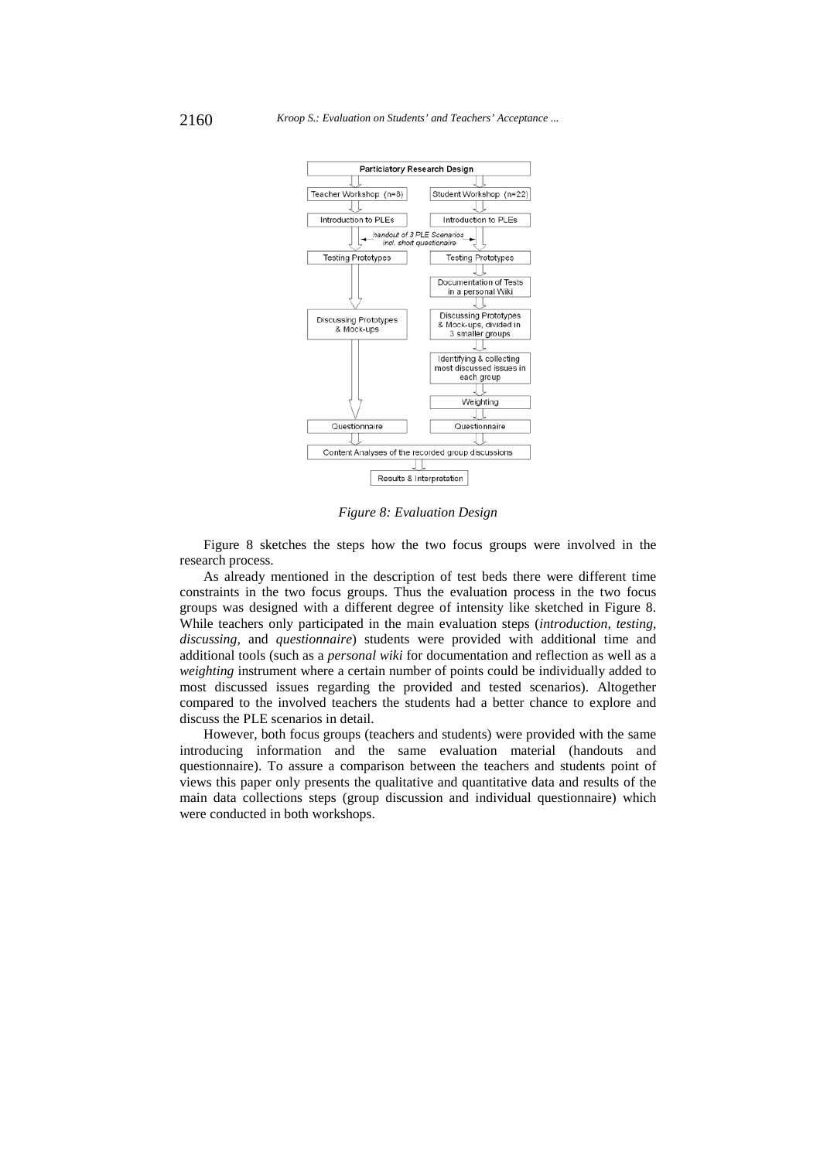

*Figure 8: Evaluation Design* 

Figure 8 sketches the steps how the two focus groups were involved in the research process.

As already mentioned in the description of test beds there were different time constraints in the two focus groups. Thus the evaluation process in the two focus groups was designed with a different degree of intensity like sketched in Figure 8. While teachers only participated in the main evaluation steps (*introduction, testing, discussing,* and *questionnaire*) students were provided with additional time and additional tools (such as a *personal wiki* for documentation and reflection as well as a *weighting* instrument where a certain number of points could be individually added to most discussed issues regarding the provided and tested scenarios). Altogether compared to the involved teachers the students had a better chance to explore and discuss the PLE scenarios in detail.

However, both focus groups (teachers and students) were provided with the same introducing information and the same evaluation material (handouts and questionnaire). To assure a comparison between the teachers and students point of views this paper only presents the qualitative and quantitative data and results of the main data collections steps (group discussion and individual questionnaire) which were conducted in both workshops.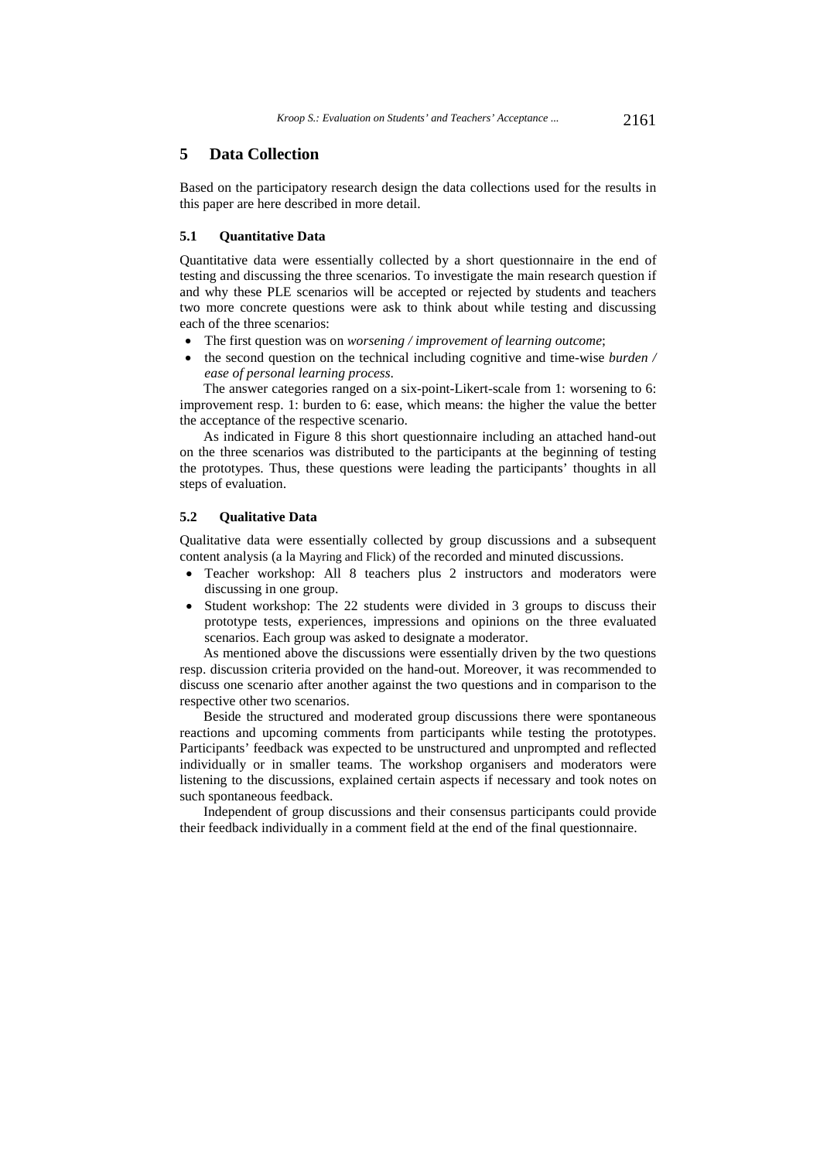# **5 Data Collection**

Based on the participatory research design the data collections used for the results in this paper are here described in more detail.

### **5.1 Quantitative Data**

Quantitative data were essentially collected by a short questionnaire in the end of testing and discussing the three scenarios. To investigate the main research question if and why these PLE scenarios will be accepted or rejected by students and teachers two more concrete questions were ask to think about while testing and discussing each of the three scenarios:

- The first question was on *worsening / improvement of learning outcome*;
- the second question on the technical including cognitive and time-wise *burden / ease of personal learning process*.

The answer categories ranged on a six-point-Likert-scale from 1: worsening to 6: improvement resp. 1: burden to 6: ease, which means: the higher the value the better the acceptance of the respective scenario.

As indicated in Figure 8 this short questionnaire including an attached hand-out on the three scenarios was distributed to the participants at the beginning of testing the prototypes. Thus, these questions were leading the participants' thoughts in all steps of evaluation.

#### **5.2 Qualitative Data**

Qualitative data were essentially collected by group discussions and a subsequent content analysis (a la Mayring and Flick) of the recorded and minuted discussions.

- Teacher workshop: All 8 teachers plus 2 instructors and moderators were discussing in one group.
- Student workshop: The 22 students were divided in 3 groups to discuss their prototype tests, experiences, impressions and opinions on the three evaluated scenarios. Each group was asked to designate a moderator.

As mentioned above the discussions were essentially driven by the two questions resp. discussion criteria provided on the hand-out. Moreover, it was recommended to discuss one scenario after another against the two questions and in comparison to the respective other two scenarios.

Beside the structured and moderated group discussions there were spontaneous reactions and upcoming comments from participants while testing the prototypes. Participants' feedback was expected to be unstructured and unprompted and reflected individually or in smaller teams. The workshop organisers and moderators were listening to the discussions, explained certain aspects if necessary and took notes on such spontaneous feedback.

Independent of group discussions and their consensus participants could provide their feedback individually in a comment field at the end of the final questionnaire.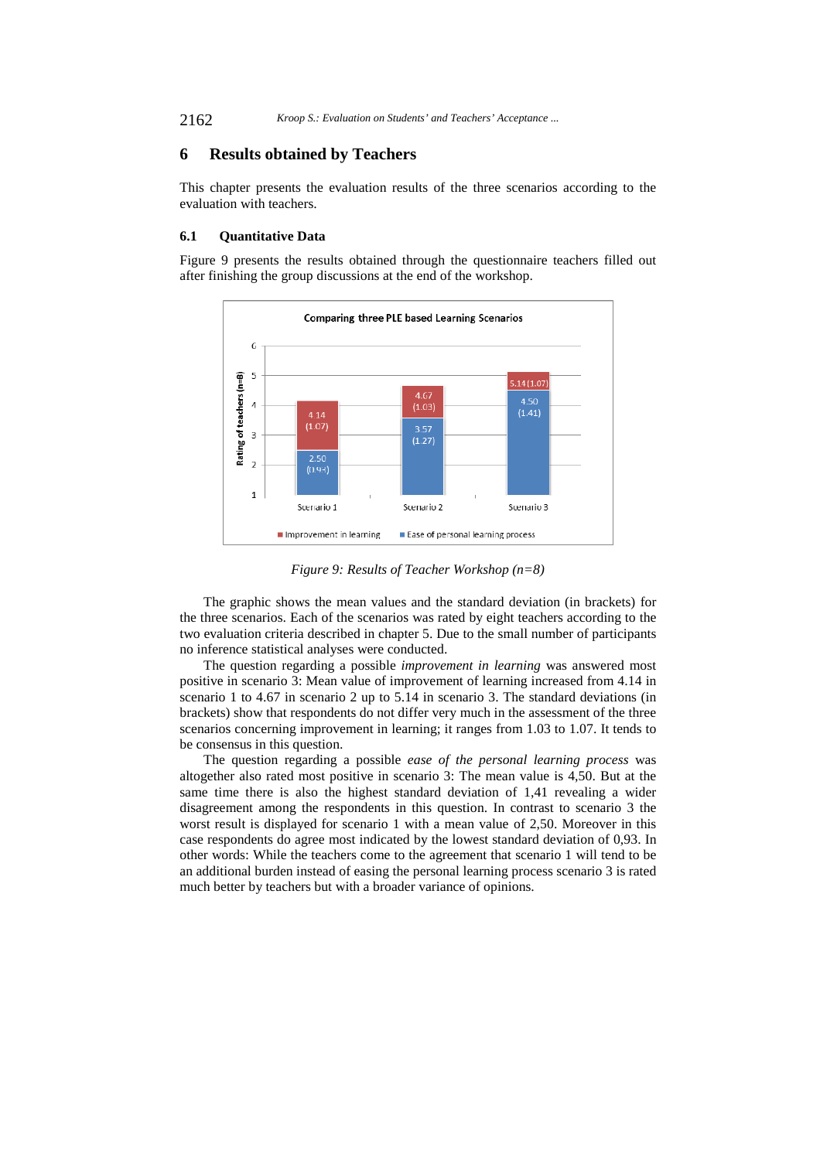2162 *Kroop S.: Evaluation on Students' and Teachers' Acceptance ...*

# **6 Results obtained by Teachers**

This chapter presents the evaluation results of the three scenarios according to the evaluation with teachers.

### **6.1 Quantitative Data**

Figure 9 presents the results obtained through the questionnaire teachers filled out after finishing the group discussions at the end of the workshop.



*Figure 9: Results of Teacher Workshop (n=8)* 

The graphic shows the mean values and the standard deviation (in brackets) for the three scenarios. Each of the scenarios was rated by eight teachers according to the two evaluation criteria described in chapter 5. Due to the small number of participants no inference statistical analyses were conducted.

The question regarding a possible *improvement in learning* was answered most positive in scenario 3: Mean value of improvement of learning increased from 4.14 in scenario 1 to 4.67 in scenario 2 up to 5.14 in scenario 3. The standard deviations (in brackets) show that respondents do not differ very much in the assessment of the three scenarios concerning improvement in learning; it ranges from 1.03 to 1.07. It tends to be consensus in this question.

The question regarding a possible *ease of the personal learning process* was altogether also rated most positive in scenario 3: The mean value is 4,50. But at the same time there is also the highest standard deviation of 1,41 revealing a wider disagreement among the respondents in this question. In contrast to scenario 3 the worst result is displayed for scenario 1 with a mean value of 2,50. Moreover in this case respondents do agree most indicated by the lowest standard deviation of 0,93. In other words: While the teachers come to the agreement that scenario 1 will tend to be an additional burden instead of easing the personal learning process scenario 3 is rated much better by teachers but with a broader variance of opinions.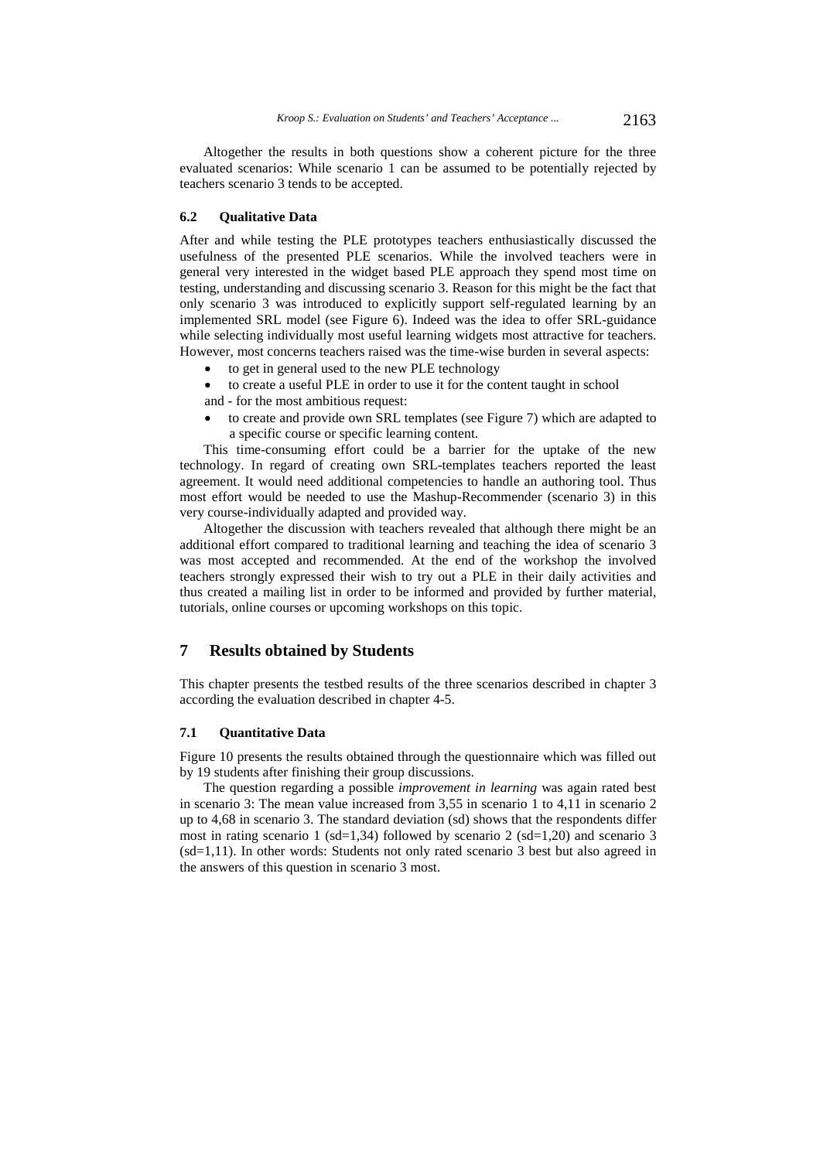Altogether the results in both questions show a coherent picture for the three evaluated scenarios: While scenario 1 can be assumed to be potentially rejected by teachers scenario 3 tends to be accepted.

#### **6.2 Qualitative Data**

After and while testing the PLE prototypes teachers enthusiastically discussed the usefulness of the presented PLE scenarios. While the involved teachers were in general very interested in the widget based PLE approach they spend most time on testing, understanding and discussing scenario 3. Reason for this might be the fact that only scenario 3 was introduced to explicitly support self-regulated learning by an implemented SRL model (see Figure 6). Indeed was the idea to offer SRL-guidance while selecting individually most useful learning widgets most attractive for teachers. However, most concerns teachers raised was the time-wise burden in several aspects:

- to get in general used to the new PLE technology
- to create a useful PLE in order to use it for the content taught in school

and - for the most ambitious request:

 to create and provide own SRL templates (see Figure 7) which are adapted to a specific course or specific learning content.

This time-consuming effort could be a barrier for the uptake of the new technology. In regard of creating own SRL-templates teachers reported the least agreement. It would need additional competencies to handle an authoring tool. Thus most effort would be needed to use the Mashup-Recommender (scenario 3) in this very course-individually adapted and provided way.

Altogether the discussion with teachers revealed that although there might be an additional effort compared to traditional learning and teaching the idea of scenario 3 was most accepted and recommended. At the end of the workshop the involved teachers strongly expressed their wish to try out a PLE in their daily activities and thus created a mailing list in order to be informed and provided by further material, tutorials, online courses or upcoming workshops on this topic.

# **7 Results obtained by Students**

This chapter presents the testbed results of the three scenarios described in chapter 3 according the evaluation described in chapter 4-5.

#### **7.1 Quantitative Data**

Figure 10 presents the results obtained through the questionnaire which was filled out by 19 students after finishing their group discussions.

The question regarding a possible *improvement in learning* was again rated best in scenario 3: The mean value increased from 3,55 in scenario 1 to 4,11 in scenario 2 up to 4,68 in scenario 3. The standard deviation (sd) shows that the respondents differ most in rating scenario 1 (sd=1,34) followed by scenario 2 (sd=1,20) and scenario 3 (sd=1,11). In other words: Students not only rated scenario 3 best but also agreed in the answers of this question in scenario 3 most.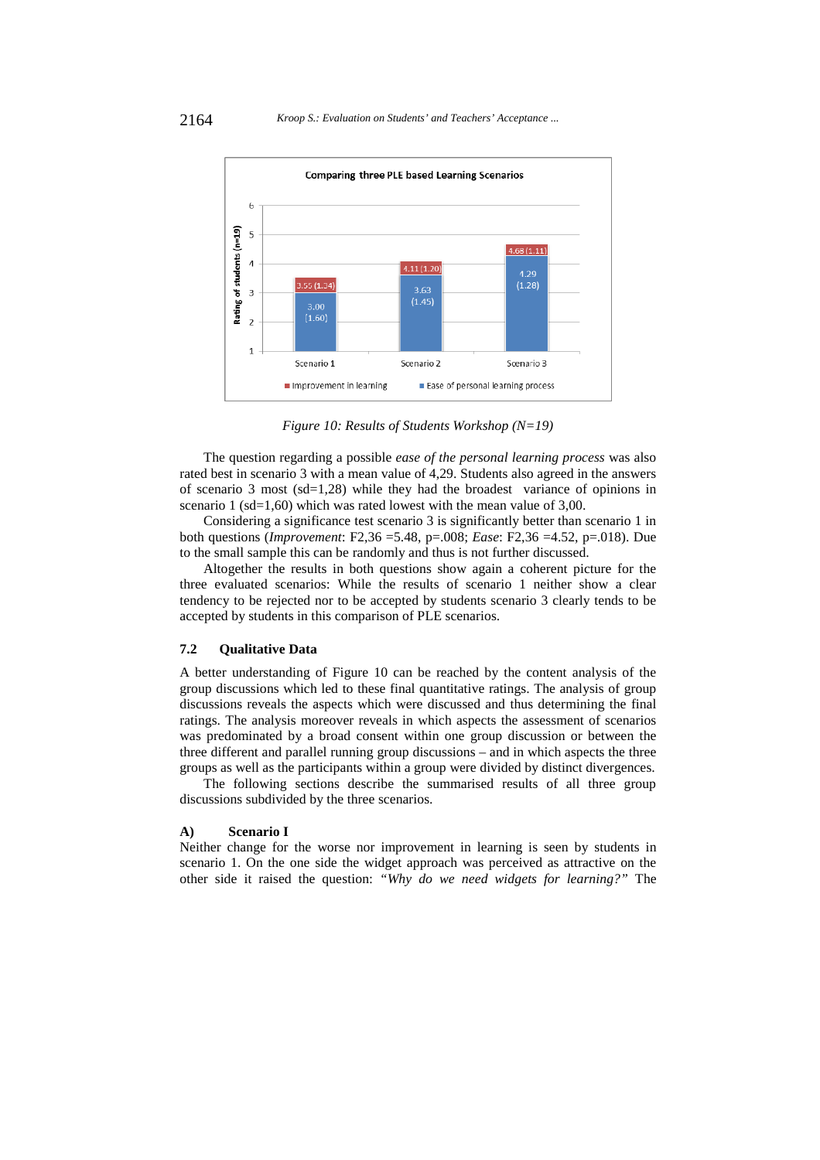

*Figure 10: Results of Students Workshop (N=19)* 

The question regarding a possible *ease of the personal learning process* was also rated best in scenario 3 with a mean value of 4,29. Students also agreed in the answers of scenario 3 most (sd=1,28) while they had the broadest variance of opinions in scenario 1 (sd=1,60) which was rated lowest with the mean value of 3,00.

Considering a significance test scenario 3 is significantly better than scenario 1 in both questions (*Improvement*: F2,36 =5.48, p=.008; *Ease*: F2,36 =4.52, p=.018). Due to the small sample this can be randomly and thus is not further discussed.

Altogether the results in both questions show again a coherent picture for the three evaluated scenarios: While the results of scenario 1 neither show a clear tendency to be rejected nor to be accepted by students scenario 3 clearly tends to be accepted by students in this comparison of PLE scenarios.

#### **7.2 Qualitative Data**

A better understanding of Figure 10 can be reached by the content analysis of the group discussions which led to these final quantitative ratings. The analysis of group discussions reveals the aspects which were discussed and thus determining the final ratings. The analysis moreover reveals in which aspects the assessment of scenarios was predominated by a broad consent within one group discussion or between the three different and parallel running group discussions – and in which aspects the three groups as well as the participants within a group were divided by distinct divergences.

The following sections describe the summarised results of all three group discussions subdivided by the three scenarios.

#### **A) Scenario I**

Neither change for the worse nor improvement in learning is seen by students in scenario 1. On the one side the widget approach was perceived as attractive on the other side it raised the question: *"Why do we need widgets for learning?"* The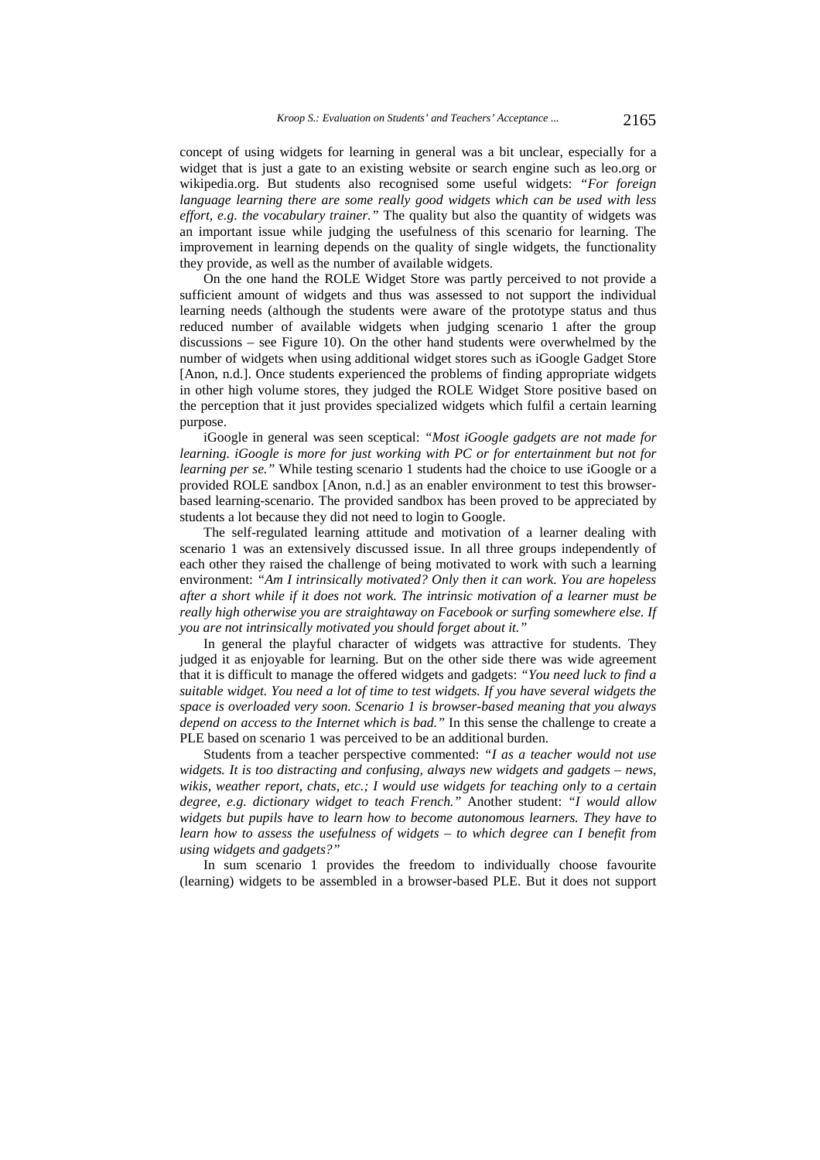concept of using widgets for learning in general was a bit unclear, especially for a widget that is just a gate to an existing website or search engine such as leo.org or wikipedia.org. But students also recognised some useful widgets: *"For foreign language learning there are some really good widgets which can be used with less effort, e.g. the vocabulary trainer."* The quality but also the quantity of widgets was an important issue while judging the usefulness of this scenario for learning. The improvement in learning depends on the quality of single widgets, the functionality they provide, as well as the number of available widgets.

On the one hand the ROLE Widget Store was partly perceived to not provide a sufficient amount of widgets and thus was assessed to not support the individual learning needs (although the students were aware of the prototype status and thus reduced number of available widgets when judging scenario 1 after the group discussions – see Figure 10). On the other hand students were overwhelmed by the number of widgets when using additional widget stores such as iGoogle Gadget Store [Anon, n.d.]. Once students experienced the problems of finding appropriate widgets in other high volume stores, they judged the ROLE Widget Store positive based on the perception that it just provides specialized widgets which fulfil a certain learning purpose.

iGoogle in general was seen sceptical: *"Most iGoogle gadgets are not made for learning. iGoogle is more for just working with PC or for entertainment but not for learning per se."* While testing scenario 1 students had the choice to use iGoogle or a provided ROLE sandbox [Anon, n.d.] as an enabler environment to test this browserbased learning-scenario. The provided sandbox has been proved to be appreciated by students a lot because they did not need to login to Google.

The self-regulated learning attitude and motivation of a learner dealing with scenario 1 was an extensively discussed issue. In all three groups independently of each other they raised the challenge of being motivated to work with such a learning environment: *"Am I intrinsically motivated? Only then it can work. You are hopeless after a short while if it does not work. The intrinsic motivation of a learner must be really high otherwise you are straightaway on Facebook or surfing somewhere else. If you are not intrinsically motivated you should forget about it."* 

In general the playful character of widgets was attractive for students. They judged it as enjoyable for learning. But on the other side there was wide agreement that it is difficult to manage the offered widgets and gadgets: *"You need luck to find a suitable widget. You need a lot of time to test widgets. If you have several widgets the space is overloaded very soon. Scenario 1 is browser-based meaning that you always depend on access to the Internet which is bad."* In this sense the challenge to create a PLE based on scenario 1 was perceived to be an additional burden.

Students from a teacher perspective commented: *"I as a teacher would not use widgets. It is too distracting and confusing, always new widgets and gadgets – news, wikis, weather report, chats, etc.; I would use widgets for teaching only to a certain degree, e.g. dictionary widget to teach French."* Another student: *"I would allow widgets but pupils have to learn how to become autonomous learners. They have to learn how to assess the usefulness of widgets – to which degree can I benefit from using widgets and gadgets?"* 

In sum scenario 1 provides the freedom to individually choose favourite (learning) widgets to be assembled in a browser-based PLE. But it does not support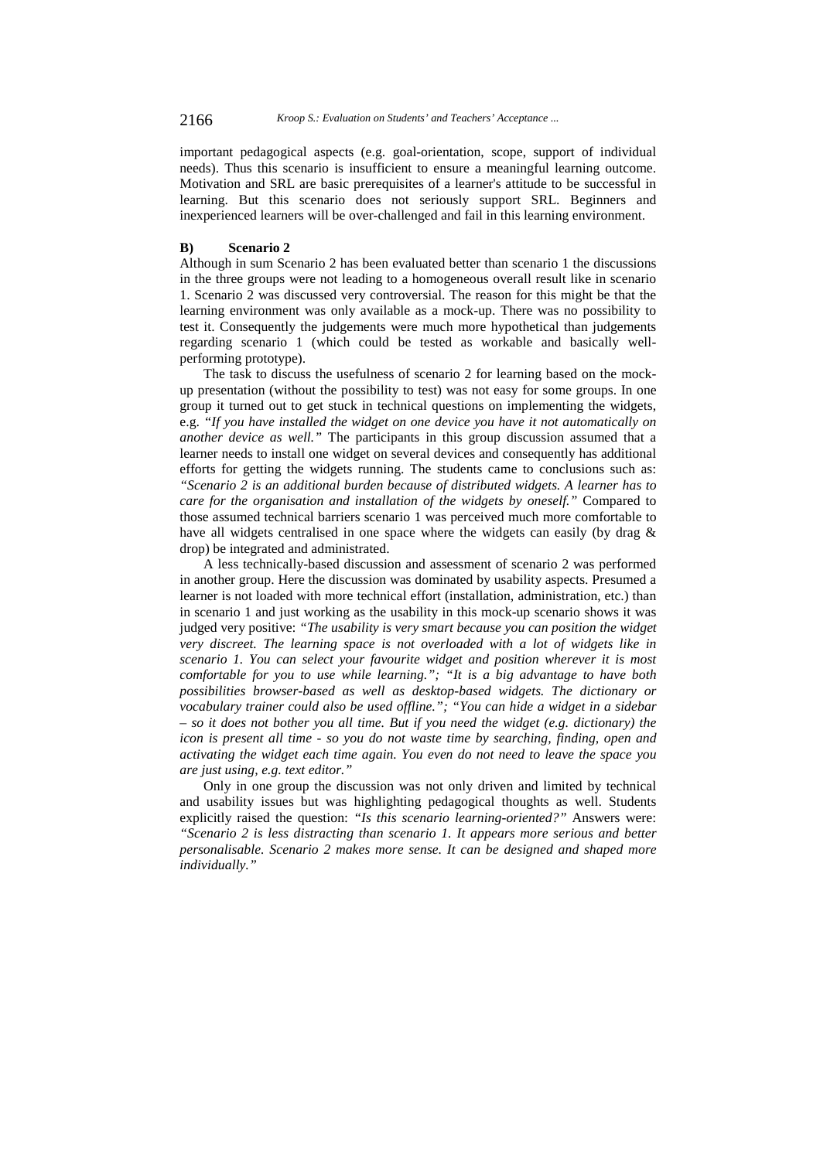important pedagogical aspects (e.g. goal-orientation, scope, support of individual needs). Thus this scenario is insufficient to ensure a meaningful learning outcome. Motivation and SRL are basic prerequisites of a learner's attitude to be successful in learning. But this scenario does not seriously support SRL. Beginners and inexperienced learners will be over-challenged and fail in this learning environment.

### **B) Scenario 2**

Although in sum Scenario 2 has been evaluated better than scenario 1 the discussions in the three groups were not leading to a homogeneous overall result like in scenario 1. Scenario 2 was discussed very controversial. The reason for this might be that the learning environment was only available as a mock-up. There was no possibility to test it. Consequently the judgements were much more hypothetical than judgements regarding scenario 1 (which could be tested as workable and basically wellperforming prototype).

The task to discuss the usefulness of scenario 2 for learning based on the mockup presentation (without the possibility to test) was not easy for some groups. In one group it turned out to get stuck in technical questions on implementing the widgets, e.g. *"If you have installed the widget on one device you have it not automatically on another device as well."* The participants in this group discussion assumed that a learner needs to install one widget on several devices and consequently has additional efforts for getting the widgets running. The students came to conclusions such as: *"Scenario 2 is an additional burden because of distributed widgets. A learner has to care for the organisation and installation of the widgets by oneself."* Compared to those assumed technical barriers scenario 1 was perceived much more comfortable to have all widgets centralised in one space where the widgets can easily (by drag & drop) be integrated and administrated.

A less technically-based discussion and assessment of scenario 2 was performed in another group. Here the discussion was dominated by usability aspects. Presumed a learner is not loaded with more technical effort (installation, administration, etc.) than in scenario 1 and just working as the usability in this mock-up scenario shows it was judged very positive: *"The usability is very smart because you can position the widget very discreet. The learning space is not overloaded with a lot of widgets like in scenario 1. You can select your favourite widget and position wherever it is most comfortable for you to use while learning."; "It is a big advantage to have both possibilities browser-based as well as desktop-based widgets. The dictionary or vocabulary trainer could also be used offline."; "You can hide a widget in a sidebar – so it does not bother you all time. But if you need the widget (e.g. dictionary) the icon is present all time - so you do not waste time by searching, finding, open and activating the widget each time again. You even do not need to leave the space you are just using, e.g. text editor."* 

Only in one group the discussion was not only driven and limited by technical and usability issues but was highlighting pedagogical thoughts as well. Students explicitly raised the question: *"Is this scenario learning-oriented?"* Answers were: *"Scenario 2 is less distracting than scenario 1. It appears more serious and better personalisable. Scenario 2 makes more sense. It can be designed and shaped more individually."*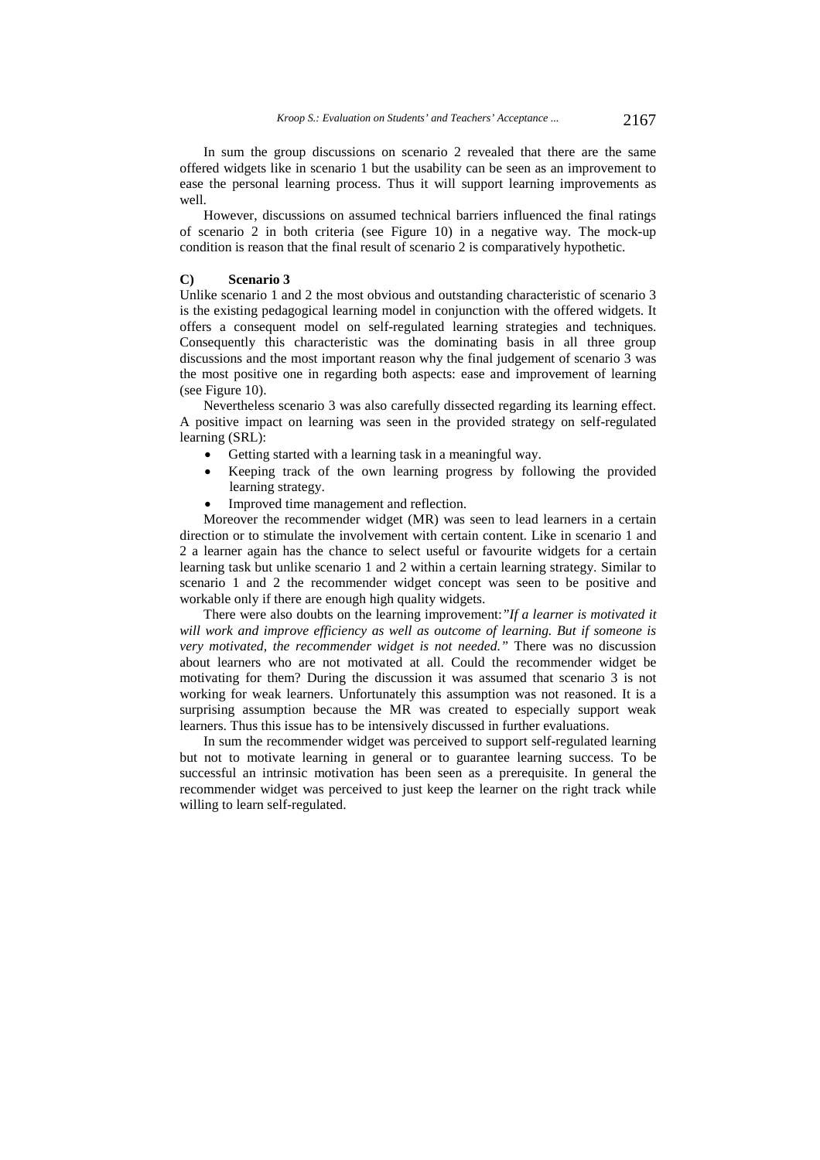In sum the group discussions on scenario 2 revealed that there are the same offered widgets like in scenario 1 but the usability can be seen as an improvement to ease the personal learning process. Thus it will support learning improvements as well.

However, discussions on assumed technical barriers influenced the final ratings of scenario 2 in both criteria (see Figure 10) in a negative way. The mock-up condition is reason that the final result of scenario 2 is comparatively hypothetic.

### **C) Scenario 3**

Unlike scenario 1 and 2 the most obvious and outstanding characteristic of scenario 3 is the existing pedagogical learning model in conjunction with the offered widgets. It offers a consequent model on self-regulated learning strategies and techniques. Consequently this characteristic was the dominating basis in all three group discussions and the most important reason why the final judgement of scenario 3 was the most positive one in regarding both aspects: ease and improvement of learning (see Figure 10).

Nevertheless scenario 3 was also carefully dissected regarding its learning effect. A positive impact on learning was seen in the provided strategy on self-regulated learning (SRL):

- Getting started with a learning task in a meaningful way.
- Keeping track of the own learning progress by following the provided learning strategy.
- Improved time management and reflection.

Moreover the recommender widget (MR) was seen to lead learners in a certain direction or to stimulate the involvement with certain content. Like in scenario 1 and 2 a learner again has the chance to select useful or favourite widgets for a certain learning task but unlike scenario 1 and 2 within a certain learning strategy. Similar to scenario 1 and 2 the recommender widget concept was seen to be positive and workable only if there are enough high quality widgets.

There were also doubts on the learning improvement:*"If a learner is motivated it will work and improve efficiency as well as outcome of learning. But if someone is very motivated, the recommender widget is not needed."* There was no discussion about learners who are not motivated at all. Could the recommender widget be motivating for them? During the discussion it was assumed that scenario 3 is not working for weak learners. Unfortunately this assumption was not reasoned. It is a surprising assumption because the MR was created to especially support weak learners. Thus this issue has to be intensively discussed in further evaluations.

In sum the recommender widget was perceived to support self-regulated learning but not to motivate learning in general or to guarantee learning success. To be successful an intrinsic motivation has been seen as a prerequisite. In general the recommender widget was perceived to just keep the learner on the right track while willing to learn self-regulated.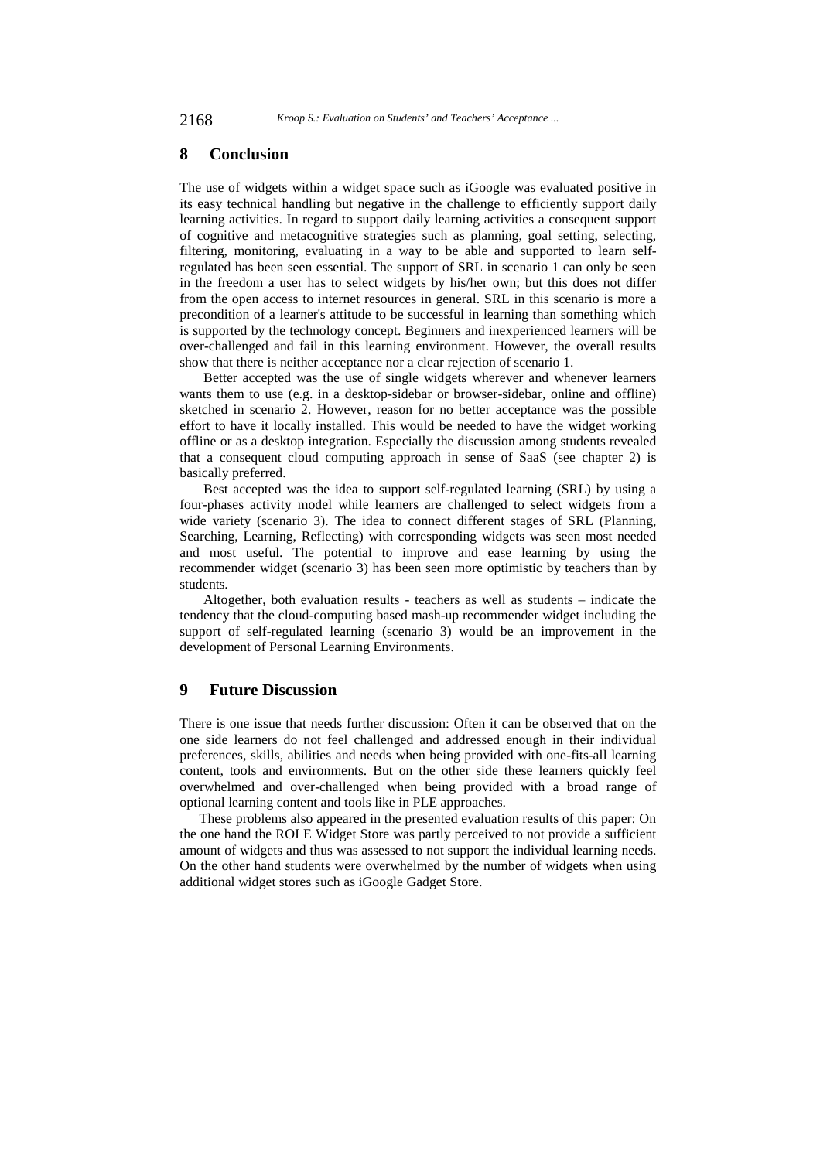# **8 Conclusion**

The use of widgets within a widget space such as iGoogle was evaluated positive in its easy technical handling but negative in the challenge to efficiently support daily learning activities. In regard to support daily learning activities a consequent support of cognitive and metacognitive strategies such as planning, goal setting, selecting, filtering, monitoring, evaluating in a way to be able and supported to learn selfregulated has been seen essential. The support of SRL in scenario 1 can only be seen in the freedom a user has to select widgets by his/her own; but this does not differ from the open access to internet resources in general. SRL in this scenario is more a precondition of a learner's attitude to be successful in learning than something which is supported by the technology concept. Beginners and inexperienced learners will be over-challenged and fail in this learning environment. However, the overall results show that there is neither acceptance nor a clear rejection of scenario 1.

Better accepted was the use of single widgets wherever and whenever learners wants them to use (e.g. in a desktop-sidebar or browser-sidebar, online and offline) sketched in scenario 2. However, reason for no better acceptance was the possible effort to have it locally installed. This would be needed to have the widget working offline or as a desktop integration. Especially the discussion among students revealed that a consequent cloud computing approach in sense of SaaS (see chapter 2) is basically preferred.

Best accepted was the idea to support self-regulated learning (SRL) by using a four-phases activity model while learners are challenged to select widgets from a wide variety (scenario 3). The idea to connect different stages of SRL (Planning, Searching, Learning, Reflecting) with corresponding widgets was seen most needed and most useful. The potential to improve and ease learning by using the recommender widget (scenario 3) has been seen more optimistic by teachers than by students.

Altogether, both evaluation results - teachers as well as students – indicate the tendency that the cloud-computing based mash-up recommender widget including the support of self-regulated learning (scenario 3) would be an improvement in the development of Personal Learning Environments.

# **9 Future Discussion**

There is one issue that needs further discussion: Often it can be observed that on the one side learners do not feel challenged and addressed enough in their individual preferences, skills, abilities and needs when being provided with one-fits-all learning content, tools and environments. But on the other side these learners quickly feel overwhelmed and over-challenged when being provided with a broad range of optional learning content and tools like in PLE approaches.

These problems also appeared in the presented evaluation results of this paper: On the one hand the ROLE Widget Store was partly perceived to not provide a sufficient amount of widgets and thus was assessed to not support the individual learning needs. On the other hand students were overwhelmed by the number of widgets when using additional widget stores such as iGoogle Gadget Store.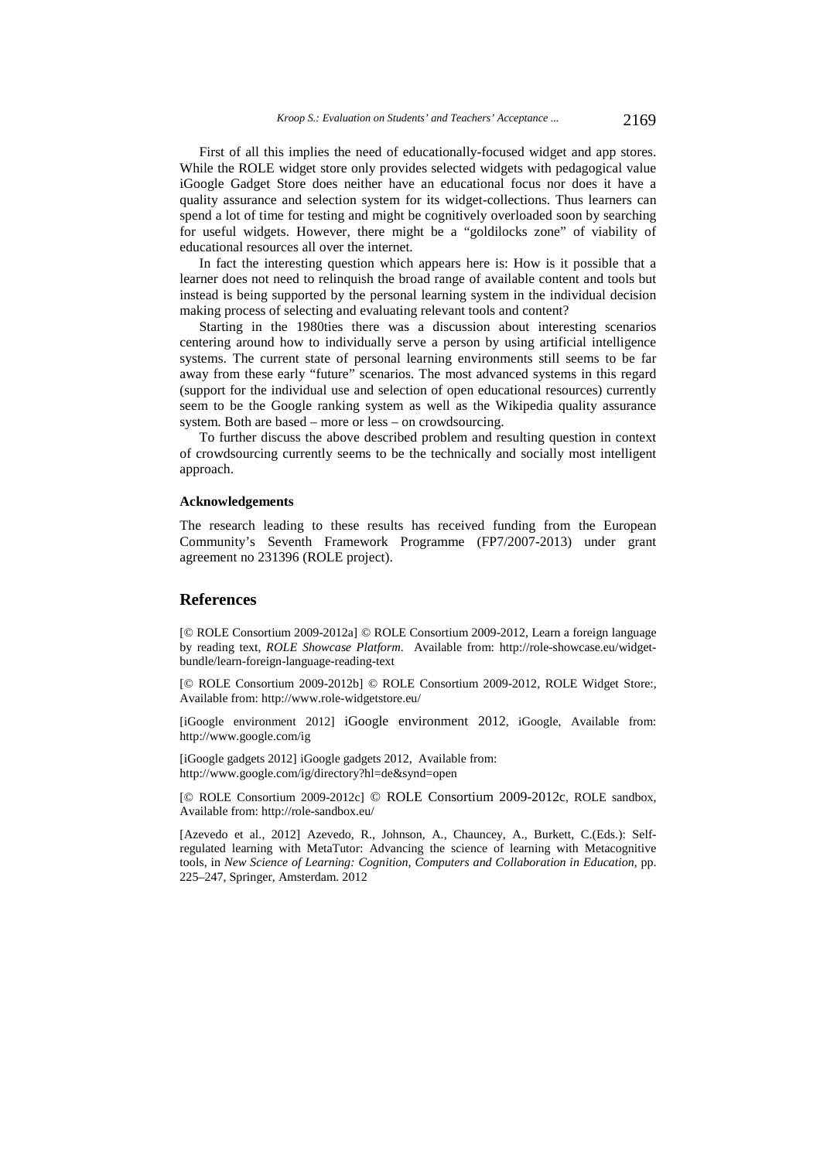First of all this implies the need of educationally-focused widget and app stores. While the ROLE widget store only provides selected widgets with pedagogical value iGoogle Gadget Store does neither have an educational focus nor does it have a quality assurance and selection system for its widget-collections. Thus learners can spend a lot of time for testing and might be cognitively overloaded soon by searching for useful widgets. However, there might be a "goldilocks zone" of viability of educational resources all over the internet.

In fact the interesting question which appears here is: How is it possible that a learner does not need to relinquish the broad range of available content and tools but instead is being supported by the personal learning system in the individual decision making process of selecting and evaluating relevant tools and content?

Starting in the 1980ties there was a discussion about interesting scenarios centering around how to individually serve a person by using artificial intelligence systems. The current state of personal learning environments still seems to be far away from these early "future" scenarios. The most advanced systems in this regard (support for the individual use and selection of open educational resources) currently seem to be the Google ranking system as well as the Wikipedia quality assurance system. Both are based – more or less – on crowdsourcing.

To further discuss the above described problem and resulting question in context of crowdsourcing currently seems to be the technically and socially most intelligent approach.

#### **Acknowledgements**

The research leading to these results has received funding from the European Community's Seventh Framework Programme (FP7/2007-2013) under grant agreement no 231396 (ROLE project).

# **References**

[© ROLE Consortium 2009-2012a] © ROLE Consortium 2009-2012, Learn a foreign language by reading text, *ROLE Showcase Platform*. Available from: http://role-showcase.eu/widgetbundle/learn-foreign-language-reading-text

[© ROLE Consortium 2009-2012b] © ROLE Consortium 2009-2012, ROLE Widget Store:, Available from: http://www.role-widgetstore.eu/

[iGoogle environment 2012] iGoogle environment 2012, iGoogle, Available from: http://www.google.com/ig

[iGoogle gadgets 2012] iGoogle gadgets 2012, Available from: http://www.google.com/ig/directory?hl=de&synd=open

[© ROLE Consortium 2009-2012c] © ROLE Consortium 2009-2012c, ROLE sandbox, Available from: http://role-sandbox.eu/

[Azevedo et al., 2012] Azevedo, R., Johnson, A., Chauncey, A., Burkett, C.(Eds.): Selfregulated learning with MetaTutor: Advancing the science of learning with Metacognitive tools, in *New Science of Learning: Cognition, Computers and Collaboration in Education*, pp. 225–247, Springer, Amsterdam. 2012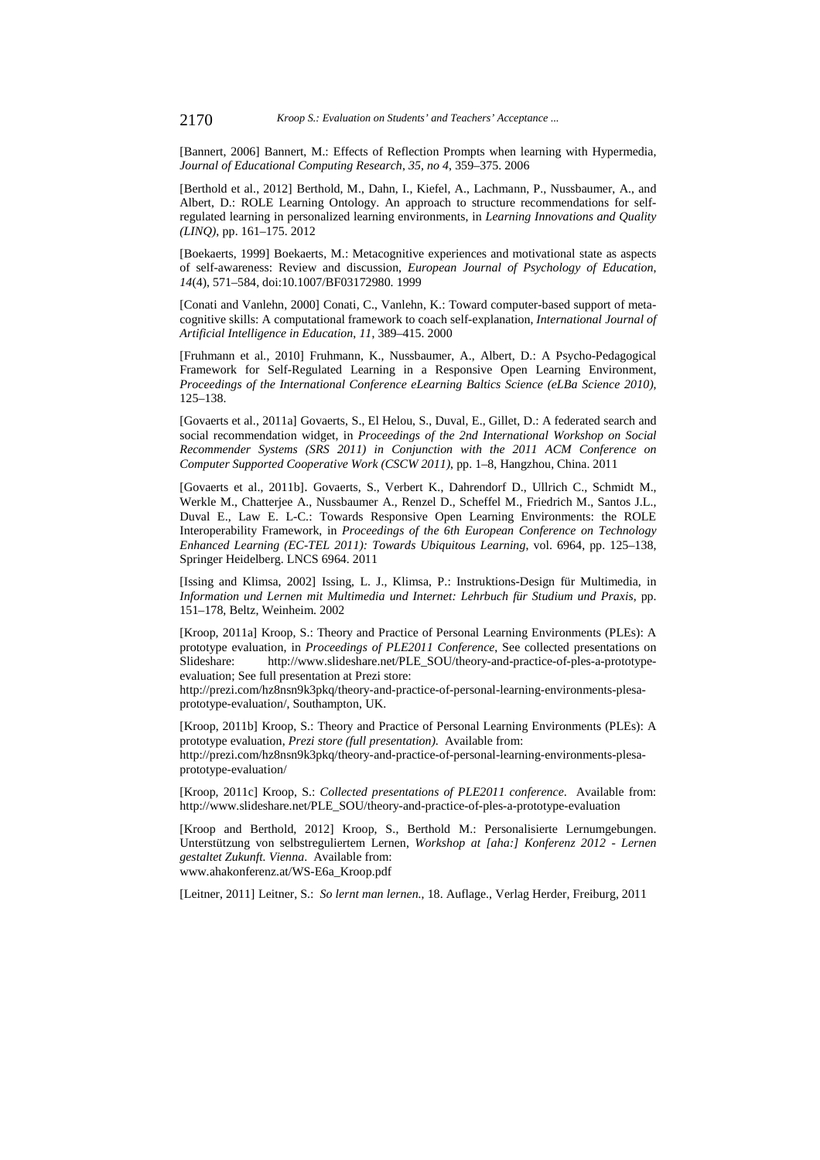[Bannert, 2006] Bannert, M.: Effects of Reflection Prompts when learning with Hypermedia, *Journal of Educational Computing Research*, *35, no 4*, 359–375. 2006

[Berthold et al., 2012] Berthold, M., Dahn, I., Kiefel, A., Lachmann, P., Nussbaumer, A., and Albert, D.: ROLE Learning Ontology. An approach to structure recommendations for selfregulated learning in personalized learning environments, in *Learning Innovations and Quality (LINQ)*, pp. 161–175. 2012

[Boekaerts, 1999] Boekaerts, M.: Metacognitive experiences and motivational state as aspects of self-awareness: Review and discussion, *European Journal of Psychology of Education*, *14*(4), 571–584, doi:10.1007/BF03172980. 1999

[Conati and Vanlehn, 2000] Conati, C., Vanlehn, K.: Toward computer-based support of metacognitive skills: A computational framework to coach self-explanation, *International Journal of Artificial Intelligence in Education*, *11*, 389–415. 2000

[Fruhmann et al*.*, 2010] Fruhmann, K., Nussbaumer, A., Albert, D.: A Psycho-Pedagogical Framework for Self-Regulated Learning in a Responsive Open Learning Environment, *Proceedings of the International Conference eLearning Baltics Science (eLBa Science 2010)*, 125–138.

[Govaerts et al., 2011a] Govaerts, S., El Helou, S., Duval, E., Gillet, D.: A federated search and social recommendation widget, in *Proceedings of the 2nd International Workshop on Social Recommender Systems (SRS 2011) in Conjunction with the 2011 ACM Conference on Computer Supported Cooperative Work (CSCW 2011)*, pp. 1–8, Hangzhou, China. 2011

[Govaerts et al., 2011b]. Govaerts, S., Verbert K., Dahrendorf D., Ullrich C., Schmidt M., Werkle M., Chatterjee A., Nussbaumer A., Renzel D., Scheffel M., Friedrich M., Santos J.L., Duval E., Law E. L-C.: Towards Responsive Open Learning Environments: the ROLE Interoperability Framework, in *Proceedings of the 6th European Conference on Technology Enhanced Learning (EC-TEL 2011): Towards Ubiquitous Learning*, vol. 6964, pp. 125–138, Springer Heidelberg. LNCS 6964. 2011

[Issing and Klimsa, 2002] Issing, L. J., Klimsa, P.: Instruktions-Design für Multimedia, in *Information und Lernen mit Multimedia und Internet: Lehrbuch für Studium und Praxis*, pp. 151–178, Beltz, Weinheim. 2002

[Kroop, 2011a] Kroop, S.: Theory and Practice of Personal Learning Environments (PLEs): A prototype evaluation, in *Proceedings of PLE2011 Conference*, See collected presentations on Slideshare: http://www.slideshare.net/PLE\_SOU/theory-and-practice-of-ples-a-prototypeevaluation; See full presentation at Prezi store:

http://prezi.com/hz8nsn9k3pkq/theory-and-practice-of-personal-learning-environments-plesaprototype-evaluation/, Southampton, UK.

[Kroop, 2011b] Kroop, S.: Theory and Practice of Personal Learning Environments (PLEs): A prototype evaluation, *Prezi store (full presentation)*. Available from: http://prezi.com/hz8nsn9k3pkq/theory-and-practice-of-personal-learning-environments-plesa-

[Kroop, 2011c] Kroop, S.: *Collected presentations of PLE2011 conference*. Available from: http://www.slideshare.net/PLE\_SOU/theory-and-practice-of-ples-a-prototype-evaluation

[Kroop and Berthold, 2012] Kroop, S., Berthold M.: Personalisierte Lernumgebungen. Unterstützung von selbstreguliertem Lernen, *Workshop at [aha:] Konferenz 2012 - Lernen gestaltet Zukunft. Vienna*. Available from:

www.ahakonferenz.at/WS-E6a\_Kroop.pdf

prototype-evaluation/

[Leitner, 2011] Leitner, S.: *So lernt man lernen.*, 18. Auflage., Verlag Herder, Freiburg, 2011